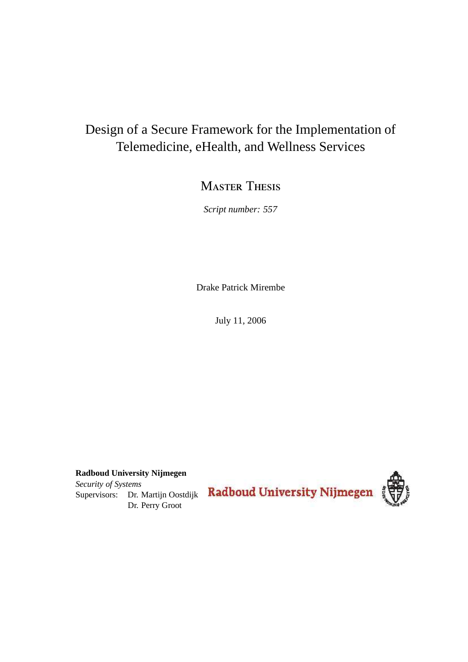## Design of a Secure Framework for the Implementation of Telemedicine, eHealth, and Wellness Services

### **MASTER THESIS**

*Script number: 557*

Drake Patrick Mirembe

July 11, 2006

**Radboud University Nijmegen** *Security of Systems*

Supervisors: Dr. Martijn Oostdijk Dr. Perry Groot

Radboud University Nijmegen

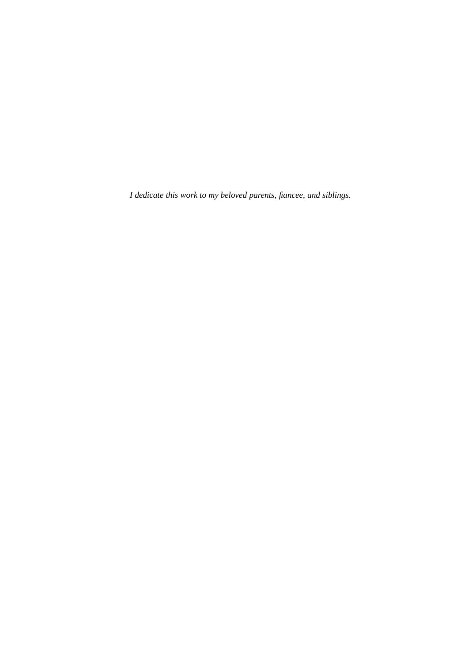*I dedicate this work to my beloved parents, fiancee, and siblings.*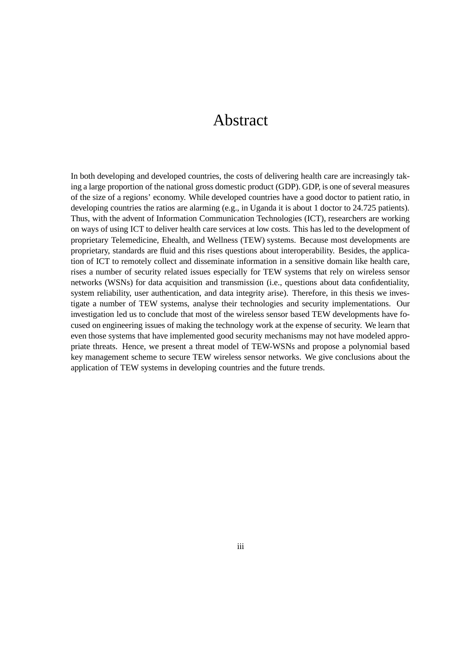### Abstract

In both developing and developed countries, the costs of delivering health care are increasingly taking a large proportion of the national gross domestic product (GDP). GDP, is one of several measures of the size of a regions' economy. While developed countries have a good doctor to patient ratio, in developing countries the ratios are alarming (e.g., in Uganda it is about 1 doctor to 24.725 patients). Thus, with the advent of Information Communication Technologies (ICT), researchers are working on ways of using ICT to deliver health care services at low costs. This has led to the development of proprietary Telemedicine, Ehealth, and Wellness (TEW) systems. Because most developments are proprietary, standards are fluid and this rises questions about interoperability. Besides, the application of ICT to remotely collect and disseminate information in a sensitive domain like health care, rises a number of security related issues especially for TEW systems that rely on wireless sensor networks (WSNs) for data acquisition and transmission (i.e., questions about data confidentiality, system reliability, user authentication, and data integrity arise). Therefore, in this thesis we investigate a number of TEW systems, analyse their technologies and security implementations. Our investigation led us to conclude that most of the wireless sensor based TEW developments have focused on engineering issues of making the technology work at the expense of security. We learn that even those systems that have implemented good security mechanisms may not have modeled appropriate threats. Hence, we present a threat model of TEW-WSNs and propose a polynomial based key management scheme to secure TEW wireless sensor networks. We give conclusions about the application of TEW systems in developing countries and the future trends.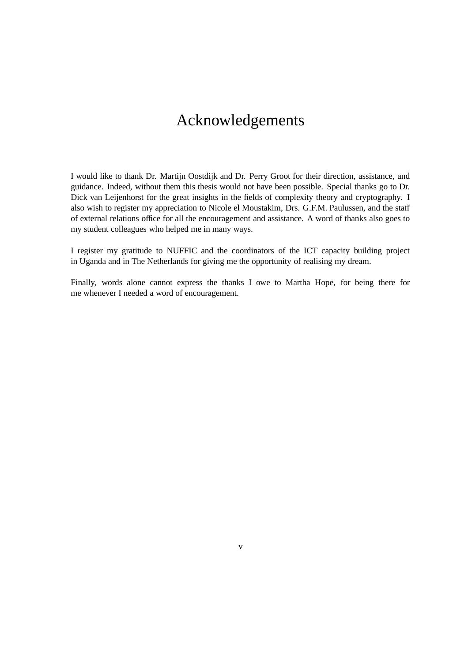# Acknowledgements

I would like to thank Dr. Martijn Oostdijk and Dr. Perry Groot for their direction, assistance, and guidance. Indeed, without them this thesis would not have been possible. Special thanks go to Dr. Dick van Leijenhorst for the great insights in the fields of complexity theory and cryptography. I also wish to register my appreciation to Nicole el Moustakim, Drs. G.F.M. Paulussen, and the staff of external relations office for all the encouragement and assistance. A word of thanks also goes to my student colleagues who helped me in many ways.

I register my gratitude to NUFFIC and the coordinators of the ICT capacity building project in Uganda and in The Netherlands for giving me the opportunity of realising my dream.

Finally, words alone cannot express the thanks I owe to Martha Hope, for being there for me whenever I needed a word of encouragement.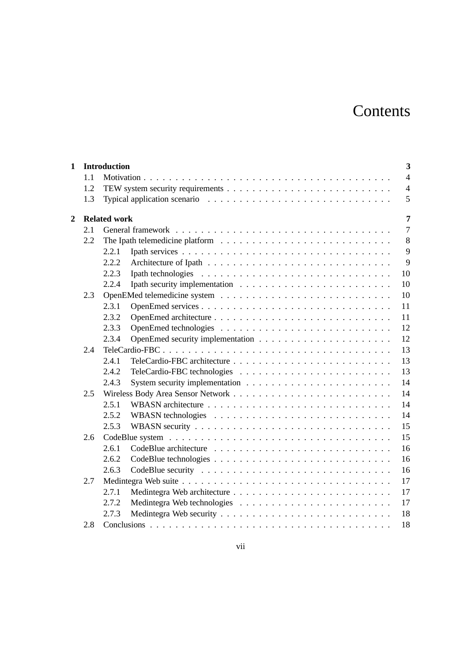# **Contents**

| $\mathbf{1}$   |     | 3<br><b>Introduction</b>              |  |  |
|----------------|-----|---------------------------------------|--|--|
|                | 1.1 | $\overline{4}$                        |  |  |
|                | 1.2 | $\overline{4}$                        |  |  |
|                | 1.3 | 5                                     |  |  |
| $\overline{2}$ |     | $\overline{7}$<br><b>Related work</b> |  |  |
|                | 2.1 | $\overline{7}$                        |  |  |
|                | 2.2 | 8                                     |  |  |
|                |     | 9<br>2.2.1                            |  |  |
|                |     | 9<br>2.2.2                            |  |  |
|                |     | 2.2.3<br>10                           |  |  |
|                |     | 10<br>2.2.4                           |  |  |
|                | 2.3 | 10                                    |  |  |
|                |     | 2.3.1<br>11                           |  |  |
|                |     | 2.3.2<br>11                           |  |  |
|                |     | 12<br>2.3.3                           |  |  |
|                |     | 12<br>2.3.4                           |  |  |
|                | 2.4 | 13                                    |  |  |
|                |     | 13<br>2.4.1                           |  |  |
|                |     | 13<br>2.4.2                           |  |  |
|                |     | 14<br>2.4.3                           |  |  |
|                | 2.5 | 14                                    |  |  |
|                |     | 14<br>2.5.1                           |  |  |
|                |     | 14<br>2.5.2                           |  |  |
|                |     | 15<br>2.5.3                           |  |  |
|                | 2.6 | 15                                    |  |  |
|                |     | 16<br>2.6.1                           |  |  |
|                |     | 16<br>2.6.2                           |  |  |
|                |     | 16<br>2.6.3                           |  |  |
|                | 2.7 | 17                                    |  |  |
|                |     | 17<br>2.7.1                           |  |  |
|                |     | 17<br>2.7.2                           |  |  |
|                |     | 2.7.3<br>18                           |  |  |
|                | 2.8 | 18                                    |  |  |
|                |     |                                       |  |  |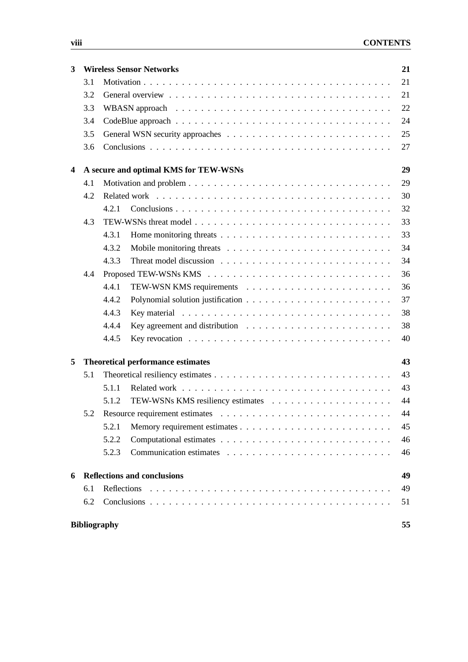| 3 |     | <b>Wireless Sensor Networks</b>                                                                        | 21 |
|---|-----|--------------------------------------------------------------------------------------------------------|----|
|   | 3.1 |                                                                                                        | 21 |
|   | 3.2 |                                                                                                        | 21 |
|   | 3.3 |                                                                                                        | 22 |
|   | 3.4 |                                                                                                        | 24 |
|   | 3.5 |                                                                                                        | 25 |
|   | 3.6 |                                                                                                        | 27 |
| 4 |     | A secure and optimal KMS for TEW-WSNs                                                                  | 29 |
|   | 4.1 |                                                                                                        | 29 |
|   | 4.2 |                                                                                                        | 30 |
|   |     | 4.2.1                                                                                                  | 32 |
|   | 4.3 |                                                                                                        | 33 |
|   |     | 4.3.1                                                                                                  | 33 |
|   |     | 4.3.2                                                                                                  | 34 |
|   |     | 4.3.3                                                                                                  | 34 |
|   | 4.4 |                                                                                                        | 36 |
|   |     | 4.4.1                                                                                                  | 36 |
|   |     | 4.4.2                                                                                                  | 37 |
|   |     | 4.4.3                                                                                                  | 38 |
|   |     | 4.4.4                                                                                                  | 38 |
|   |     | Key revocation $\ldots \ldots \ldots \ldots \ldots \ldots \ldots \ldots \ldots \ldots \ldots$<br>4.4.5 | 40 |
| 5 |     | <b>Theoretical performance estimates</b>                                                               | 43 |
|   | 5.1 |                                                                                                        | 43 |
|   |     | 5.1.1                                                                                                  | 43 |
|   |     | 5.1.2                                                                                                  | 44 |
|   | 5.2 | Resource requirement estimates $\ldots \ldots \ldots \ldots \ldots \ldots \ldots \ldots \ldots \ldots$ | 44 |
|   |     | 5.2.1                                                                                                  | 45 |
|   |     | 5.2.2                                                                                                  | 46 |
|   |     | 5.2.3                                                                                                  | 46 |
| 6 |     | <b>Reflections and conclusions</b>                                                                     | 49 |
|   | 6.1 |                                                                                                        | 49 |
|   | 6.2 |                                                                                                        | 51 |
|   |     | <b>Bibliography</b>                                                                                    | 55 |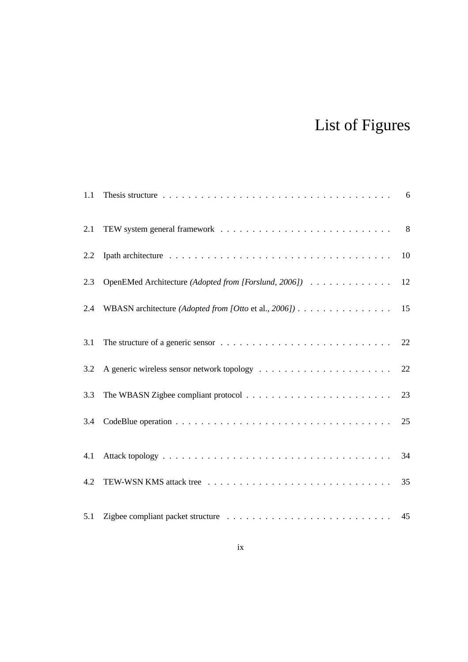# List of Figures

| 1.1 |                                                       |    |
|-----|-------------------------------------------------------|----|
| 2.1 |                                                       |    |
| 2.2 |                                                       | 10 |
| 2.3 | OpenEMed Architecture (Adopted from [Forslund, 2006]) | 12 |
| 2.4 | WBASN architecture (Adopted from [Otto et al., 2006]) | 15 |
| 3.1 |                                                       | 22 |
| 3.2 |                                                       | 22 |
| 3.3 |                                                       | 23 |
| 3.4 |                                                       | 25 |
| 4.1 |                                                       | 34 |
| 4.2 |                                                       | 35 |
| 5.1 |                                                       |    |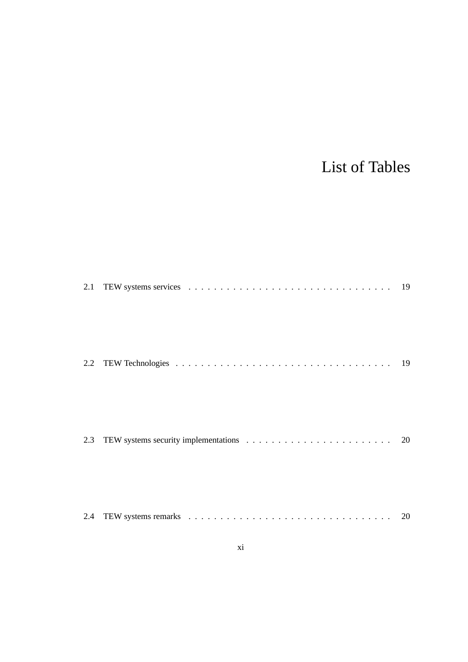# List of Tables

| 2.2 |  |
|-----|--|
| 2.3 |  |
| 2.4 |  |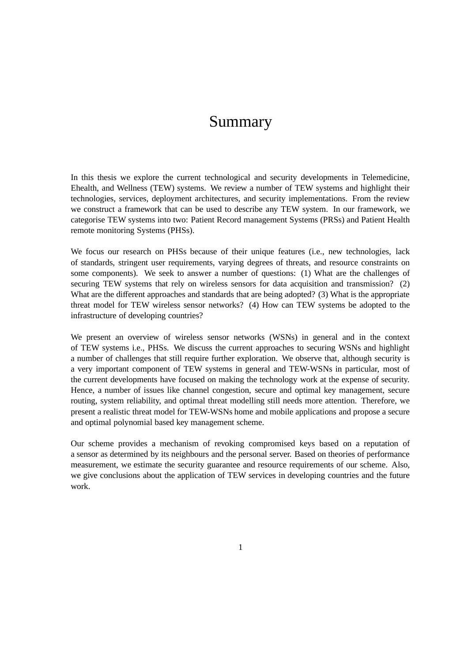### Summary

In this thesis we explore the current technological and security developments in Telemedicine, Ehealth, and Wellness (TEW) systems. We review a number of TEW systems and highlight their technologies, services, deployment architectures, and security implementations. From the review we construct a framework that can be used to describe any TEW system. In our framework, we categorise TEW systems into two: Patient Record management Systems (PRSs) and Patient Health remote monitoring Systems (PHSs).

We focus our research on PHSs because of their unique features (i.e., new technologies, lack of standards, stringent user requirements, varying degrees of threats, and resource constraints on some components). We seek to answer a number of questions: (1) What are the challenges of securing TEW systems that rely on wireless sensors for data acquisition and transmission? (2) What are the different approaches and standards that are being adopted? (3) What is the appropriate threat model for TEW wireless sensor networks? (4) How can TEW systems be adopted to the infrastructure of developing countries?

We present an overview of wireless sensor networks (WSNs) in general and in the context of TEW systems i.e., PHSs. We discuss the current approaches to securing WSNs and highlight a number of challenges that still require further exploration. We observe that, although security is a very important component of TEW systems in general and TEW-WSNs in particular, most of the current developments have focused on making the technology work at the expense of security. Hence, a number of issues like channel congestion, secure and optimal key management, secure routing, system reliability, and optimal threat modelling still needs more attention. Therefore, we present a realistic threat model for TEW-WSNs home and mobile applications and propose a secure and optimal polynomial based key management scheme.

Our scheme provides a mechanism of revoking compromised keys based on a reputation of a sensor as determined by its neighbours and the personal server. Based on theories of performance measurement, we estimate the security guarantee and resource requirements of our scheme. Also, we give conclusions about the application of TEW services in developing countries and the future work.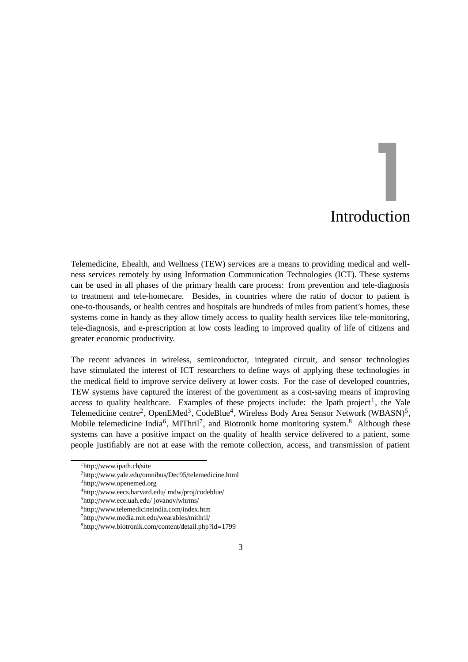# Introduction 1<br>|<br>|uction

Telemedicine, Ehealth, and Wellness (TEW) services are a means to providing medical and wellness services remotely by using Information Communication Technologies (ICT). These systems can be used in all phases of the primary health care process: from prevention and tele-diagnosis to treatment and tele-homecare. Besides, in countries where the ratio of doctor to patient is one-to-thousands, or health centres and hospitals are hundreds of miles from patient's homes, these systems come in handy as they allow timely access to quality health services like tele-monitoring, tele-diagnosis, and e-prescription at low costs leading to improved quality of life of citizens and greater economic productivity.

The recent advances in wireless, semiconductor, integrated circuit, and sensor technologies have stimulated the interest of ICT researchers to define ways of applying these technologies in the medical field to improve service delivery at lower costs. For the case of developed countries, TEW systems have captured the interest of the government as a cost-saving means of improving access to quality healthcare. Examples of these projects include: the Ipath project<sup>1</sup>, the Yale Telemedicine centre<sup>2</sup>, OpenEMed<sup>3</sup>, CodeBlue<sup>4</sup>, Wireless Body Area Sensor Network (WBASN)<sup>5</sup>, Mobile telemedicine India<sup>6</sup>, MIThril<sup>7</sup>, and Biotronik home monitoring system.<sup>8</sup> Although these systems can have a positive impact on the quality of health service delivered to a patient, some people justifiably are not at ease with the remote collection, access, and transmission of patient

<sup>1</sup>http://www.ipath.ch/site

<sup>2</sup>http://www.yale.edu/omnibus/Dec95/telemedicine.html

<sup>3</sup>http://www.openemed.org

<sup>4</sup>http://www.eecs.harvard.edu/ mdw/proj/codeblue/

<sup>5</sup>http://www.ece.uah.edu/ jovanov/whrms/

<sup>6</sup>http://www.telemedicineindia.com/index.htm

<sup>7</sup>http://www.media.mit.edu/wearables/mithril/

<sup>8</sup>http://www.biotronik.com/content/detail.php?id=1799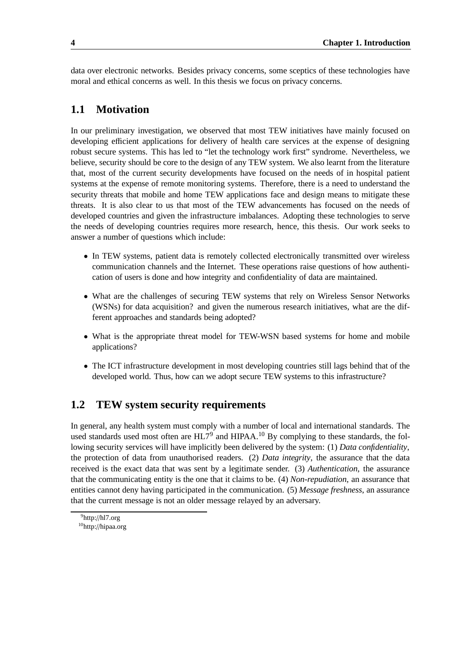data over electronic networks. Besides privacy concerns, some sceptics of these technologies have moral and ethical concerns as well. In this thesis we focus on privacy concerns.

#### **1.1 Motivation**

In our preliminary investigation, we observed that most TEW initiatives have mainly focused on developing efficient applications for delivery of health care services at the expense of designing robust secure systems. This has led to "let the technology work first" syndrome. Nevertheless, we believe, security should be core to the design of any TEW system. We also learnt from the literature that, most of the current security developments have focused on the needs of in hospital patient systems at the expense of remote monitoring systems. Therefore, there is a need to understand the security threats that mobile and home TEW applications face and design means to mitigate these threats. It is also clear to us that most of the TEW advancements has focused on the needs of developed countries and given the infrastructure imbalances. Adopting these technologies to serve the needs of developing countries requires more research, hence, this thesis. Our work seeks to answer a number of questions which include:

- In TEW systems, patient data is remotely collected electronically transmitted over wireless communication channels and the Internet. These operations raise questions of how authentication of users is done and how integrity and confidentiality of data are maintained.
- What are the challenges of securing TEW systems that rely on Wireless Sensor Networks (WSNs) for data acquisition? and given the numerous research initiatives, what are the different approaches and standards being adopted?
- What is the appropriate threat model for TEW-WSN based systems for home and mobile applications?
- The ICT infrastructure development in most developing countries still lags behind that of the developed world. Thus, how can we adopt secure TEW systems to this infrastructure?

#### **1.2 TEW system security requirements**

In general, any health system must comply with a number of local and international standards. The used standards used most often are  $H L 7<sup>9</sup>$  and HIPAA.<sup>10</sup> By complying to these standards, the following security services will have implicitly been delivered by the system: (1) *Data confidentiality*, the protection of data from unauthorised readers. (2) *Data integrity*, the assurance that the data received is the exact data that was sent by a legitimate sender. (3) *Authentication*, the assurance that the communicating entity is the one that it claims to be. (4) *Non-repudiation*, an assurance that entities cannot deny having participated in the communication. (5) *Message freshness*, an assurance that the current message is not an older message relayed by an adversary.

<sup>9</sup>http://hl7.org <sup>10</sup>http://hipaa.org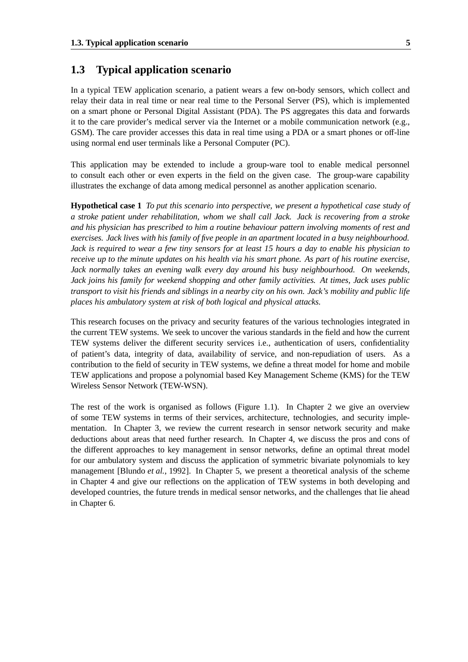#### **1.3 Typical application scenario**

In a typical TEW application scenario, a patient wears a few on-body sensors, which collect and relay their data in real time or near real time to the Personal Server (PS), which is implemented on a smart phone or Personal Digital Assistant (PDA). The PS aggregates this data and forwards it to the care provider's medical server via the Internet or a mobile communication network (e.g., GSM). The care provider accesses this data in real time using a PDA or a smart phones or off-line using normal end user terminals like a Personal Computer (PC).

This application may be extended to include a group-ware tool to enable medical personnel to consult each other or even experts in the field on the given case. The group-ware capability illustrates the exchange of data among medical personnel as another application scenario.

**Hypothetical case 1** *To put this scenario into perspective, we present a hypothetical case study of a stroke patient under rehabilitation, whom we shall call Jack. Jack is recovering from a stroke and his physician has prescribed to him a routine behaviour pattern involving moments of rest and exercises. Jack lives with his family of five people in an apartment located in a busy neighbourhood.* Jack is required to wear a few tiny sensors for at least 15 hours a day to enable his physician to receive up to the minute updates on his health via his smart phone. As part of his routine exercise, *Jack normally takes an evening walk every day around his busy neighbourhood. On weekends, Jack joins his family for weekend shopping and other family activities. At times, Jack uses public* transport to visit his friends and siblings in a nearby city on his own. Jack's mobility and public life *places his ambulatory system at risk of both logical and physical attacks.*

This research focuses on the privacy and security features of the various technologies integrated in the current TEW systems. We seek to uncover the various standards in the field and how the current TEW systems deliver the different security services i.e., authentication of users, confidentiality of patient's data, integrity of data, availability of service, and non-repudiation of users. As a contribution to the field of security in TEW systems, we define a threat model for home and mobile TEW applications and propose a polynomial based Key Management Scheme (KMS) for the TEW Wireless Sensor Network (TEW-WSN).

The rest of the work is organised as follows (Figure 1.1). In Chapter 2 we give an overview of some TEW systems in terms of their services, architecture, technologies, and security implementation. In Chapter 3, we review the current research in sensor network security and make deductions about areas that need further research. In Chapter 4, we discuss the pros and cons of the different approaches to key management in sensor networks, define an optimal threat model for our ambulatory system and discuss the application of symmetric bivariate polynomials to key management [Blundo *et al.*, 1992]. In Chapter 5, we present a theoretical analysis of the scheme in Chapter 4 and give our reflections on the application of TEW systems in both developing and developed countries, the future trends in medical sensor networks, and the challenges that lie ahead in Chapter 6.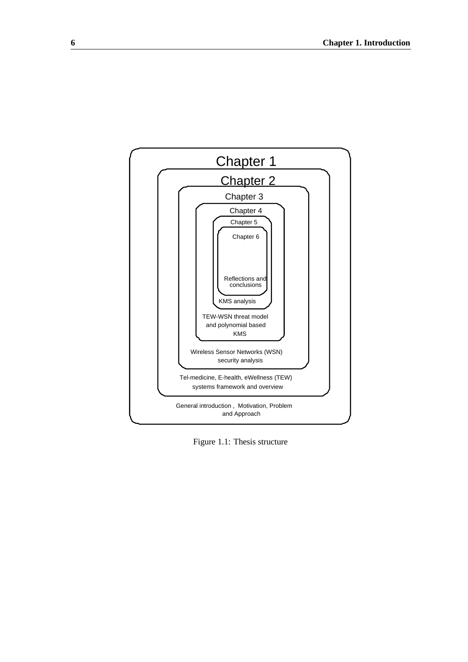

Figure 1.1: Thesis structure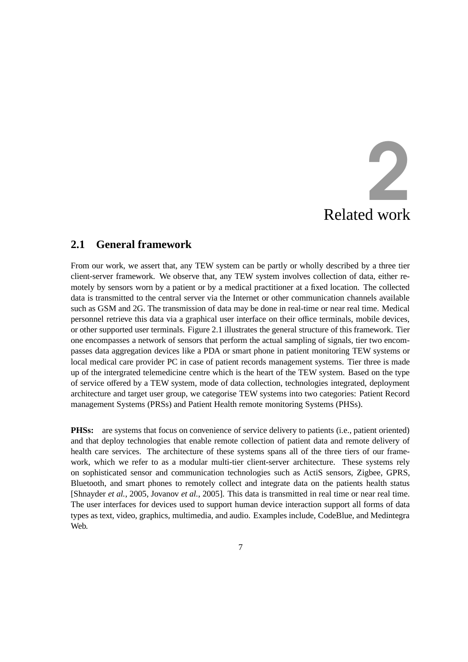# Related work 2

#### **2.1 General framework**

From our work, we assert that, any TEW system can be partly or wholly described by a three tier client-server framework. We observe that, any TEW system involves collection of data, either remotely by sensors worn by a patient or by a medical practitioner at a fixed location. The collected data is transmitted to the central server via the Internet or other communication channels available such as GSM and 2G. The transmission of data may be done in real-time or near real time. Medical personnel retrieve this data via a graphical user interface on their office terminals, mobile devices, or other supported user terminals. Figure 2.1 illustrates the general structure of this framework. Tier one encompasses a network of sensors that perform the actual sampling of signals, tier two encompasses data aggregation devices like a PDA or smart phone in patient monitoring TEW systems or local medical care provider PC in case of patient records management systems. Tier three is made up of the intergrated telemedicine centre which is the heart of the TEW system. Based on the type of service offered by a TEW system, mode of data collection, technologies integrated, deployment architecture and target user group, we categorise TEW systems into two categories: Patient Record management Systems (PRSs) and Patient Health remote monitoring Systems (PHSs).

**PHSs:** are systems that focus on convenience of service delivery to patients (i.e., patient oriented) and that deploy technologies that enable remote collection of patient data and remote delivery of health care services. The architecture of these systems spans all of the three tiers of our framework, which we refer to as a modular multi-tier client-server architecture. These systems rely on sophisticated sensor and communication technologies such as ActiS sensors, Zigbee, GPRS, Bluetooth, and smart phones to remotely collect and integrate data on the patients health status [Shnayder *et al.*, 2005, Jovanov *et al.*, 2005]. This data is transmitted in real time or near real time. The user interfaces for devices used to support human device interaction support all forms of data types as text, video, graphics, multimedia, and audio. Examples include, CodeBlue, and Medintegra Web.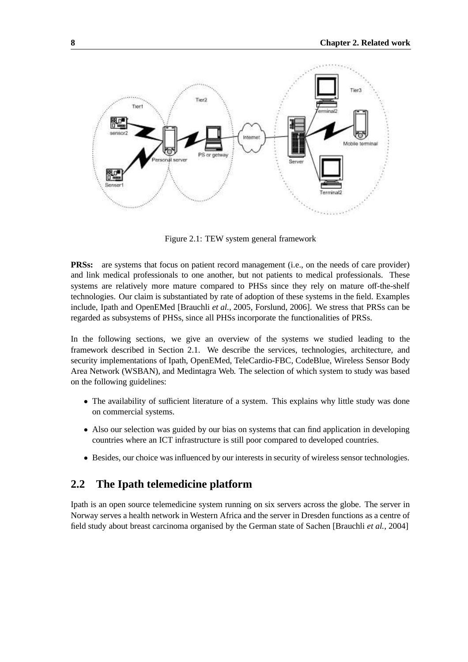

Figure 2.1: TEW system general framework

**PRSs:** are systems that focus on patient record management (i.e., on the needs of care provider) and link medical professionals to one another, but not patients to medical professionals. These systems are relatively more mature compared to PHSs since they rely on mature off-the-shelf technologies. Our claim is substantiated by rate of adoption of these systems in the field. Examples include, Ipath and OpenEMed [Brauchli *et al.*, 2005, Forslund, 2006]. We stress that PRSs can be regarded as subsystems of PHSs, since all PHSs incorporate the functionalities of PRSs.

In the following sections, we give an overview of the systems we studied leading to the framework described in Section 2.1. We describe the services, technologies, architecture, and security implementations of Ipath, OpenEMed, TeleCardio-FBC, CodeBlue, Wireless Sensor Body Area Network (WSBAN), and Medintagra Web. The selection of which system to study was based on the following guidelines:

- The availability of sufficient literature of a system. This explains why little study was done on commercial systems.
- Also our selection was guided by our bias on systems that can find application in developing countries where an ICT infrastructure is still poor compared to developed countries.
- Besides, our choice was influenced by our interests in security of wireless sensor technologies.

#### **2.2 The Ipath telemedicine platform**

Ipath is an open source telemedicine system running on six servers across the globe. The server in Norway serves a health network in Western Africa and the server in Dresden functions as a centre of field study about breast carcinoma organised by the German state of Sachen [Brauchli *et al.*, 2004]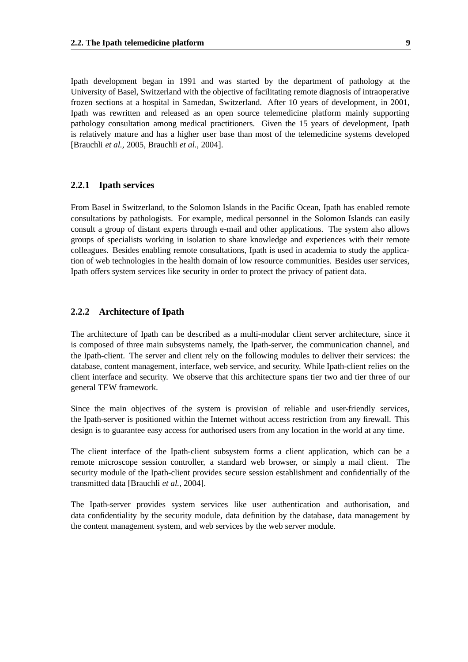Ipath development began in 1991 and was started by the department of pathology at the University of Basel, Switzerland with the objective of facilitating remote diagnosis of intraoperative frozen sections at a hospital in Samedan, Switzerland. After 10 years of development, in 2001, Ipath was rewritten and released as an open source telemedicine platform mainly supporting pathology consultation among medical practitioners. Given the 15 years of development, Ipath is relatively mature and has a higher user base than most of the telemedicine systems developed [Brauchli *et al.*, 2005, Brauchli *et al.*, 2004].

#### **2.2.1 Ipath services**

From Basel in Switzerland, to the Solomon Islands in the Pacific Ocean, Ipath has enabled remote consultations by pathologists. For example, medical personnel in the Solomon Islands can easily consult a group of distant experts through e-mail and other applications. The system also allows groups of specialists working in isolation to share knowledge and experiences with their remote colleagues. Besides enabling remote consultations, Ipath is used in academia to study the application of web technologies in the health domain of low resource communities. Besides user services, Ipath offers system services like security in order to protect the privacy of patient data.

#### **2.2.2 Architecture of Ipath**

The architecture of Ipath can be described as a multi-modular client server architecture, since it is composed of three main subsystems namely, the Ipath-server, the communication channel, and the Ipath-client. The server and client rely on the following modules to deliver their services: the database, content management, interface, web service, and security. While Ipath-client relies on the client interface and security. We observe that this architecture spans tier two and tier three of our general TEW framework.

Since the main objectives of the system is provision of reliable and user-friendly services, the Ipath-server is positioned within the Internet without access restriction from any firewall. This design is to guarantee easy access for authorised users from any location in the world at any time.

The client interface of the Ipath-client subsystem forms a client application, which can be a remote microscope session controller, a standard web browser, or simply a mail client. The security module of the Ipath-client provides secure session establishment and confidentially of the transmitted data [Brauchli *et al.*, 2004].

The Ipath-server provides system services like user authentication and authorisation, and data confidentiality by the security module, data definition by the database, data management by the content management system, and web services by the web server module.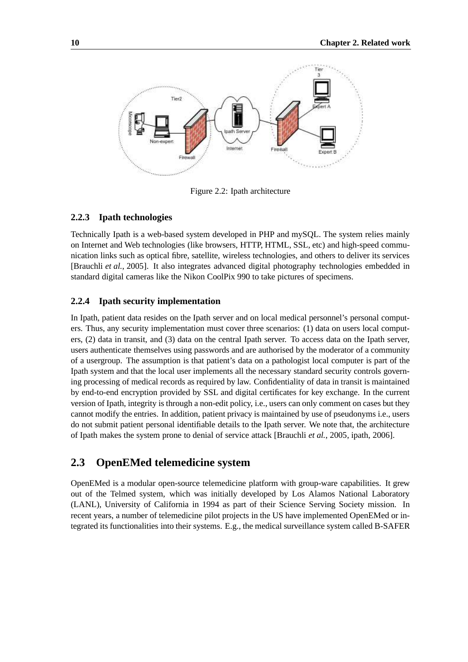

Figure 2.2: Ipath architecture

#### **2.2.3 Ipath technologies**

Technically Ipath is a web-based system developed in PHP and mySQL. The system relies mainly on Internet and Web technologies (like browsers, HTTP, HTML, SSL, etc) and high-speed communication links such as optical fibre, satellite, wireless technologies, and others to deliver its services [Brauchli *et al.*, 2005]. It also integrates advanced digital photography technologies embedded in standard digital cameras like the Nikon CoolPix 990 to take pictures of specimens.

#### **2.2.4 Ipath security implementation**

In Ipath, patient data resides on the Ipath server and on local medical personnel's personal computers. Thus, any security implementation must cover three scenarios: (1) data on users local computers, (2) data in transit, and (3) data on the central Ipath server. To access data on the Ipath server, users authenticate themselves using passwords and are authorised by the moderator of a community of a usergroup. The assumption is that patient's data on a pathologist local computer is part of the Ipath system and that the local user implements all the necessary standard security controls governing processing of medical records as required by law. Confidentiality of data in transit is maintained by end-to-end encryption provided by SSL and digital certificates for key exchange. In the current version of Ipath, integrity is through a non-edit policy, i.e., users can only comment on cases but they cannot modify the entries. In addition, patient privacy is maintained by use of pseudonyms i.e., users do not submit patient personal identifiable details to the Ipath server. We note that, the architecture of Ipath makes the system prone to denial of service attack [Brauchli *et al.*, 2005, ipath, 2006].

#### **2.3 OpenEMed telemedicine system**

OpenEMed is a modular open-source telemedicine platform with group-ware capabilities. It grew out of the Telmed system, which was initially developed by Los Alamos National Laboratory (LANL), University of California in 1994 as part of their Science Serving Society mission. In recent years, a number of telemedicine pilot projects in the US have implemented OpenEMed or integrated its functionalities into their systems. E.g., the medical surveillance system called B-SAFER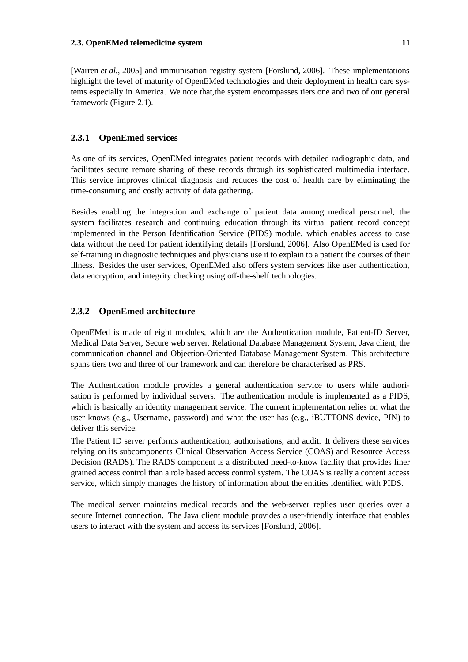[Warren *et al.*, 2005] and immunisation registry system [Forslund, 2006]. These implementations highlight the level of maturity of OpenEMed technologies and their deployment in health care systems especially in America. We note that,the system encompasses tiers one and two of our general framework (Figure 2.1).

#### **2.3.1 OpenEmed services**

As one of its services, OpenEMed integrates patient records with detailed radiographic data, and facilitates secure remote sharing of these records through its sophisticated multimedia interface. This service improves clinical diagnosis and reduces the cost of health care by eliminating the time-consuming and costly activity of data gathering.

Besides enabling the integration and exchange of patient data among medical personnel, the system facilitates research and continuing education through its virtual patient record concept implemented in the Person Identification Service (PIDS) module, which enables access to case data without the need for patient identifying details [Forslund, 2006]. Also OpenEMed is used for self-training in diagnostic techniques and physicians use it to explain to a patient the courses of their illness. Besides the user services, OpenEMed also offers system services like user authentication, data encryption, and integrity checking using off-the-shelf technologies.

#### **2.3.2 OpenEmed architecture**

OpenEMed is made of eight modules, which are the Authentication module, Patient-ID Server, Medical Data Server, Secure web server, Relational Database Management System, Java client, the communication channel and Objection-Oriented Database Management System. This architecture spans tiers two and three of our framework and can therefore be characterised as PRS.

The Authentication module provides a general authentication service to users while authorisation is performed by individual servers. The authentication module is implemented as a PIDS, which is basically an identity management service. The current implementation relies on what the user knows (e.g., Username, password) and what the user has (e.g., iBUTTONS device, PIN) to deliver this service.

The Patient ID server performs authentication, authorisations, and audit. It delivers these services relying on its subcomponents Clinical Observation Access Service (COAS) and Resource Access Decision (RADS). The RADS component is a distributed need-to-know facility that provides finer grained access control than a role based access control system. The COAS is really a content access service, which simply manages the history of information about the entities identified with PIDS.

The medical server maintains medical records and the web-server replies user queries over a secure Internet connection. The Java client module provides a user-friendly interface that enables users to interact with the system and access its services [Forslund, 2006].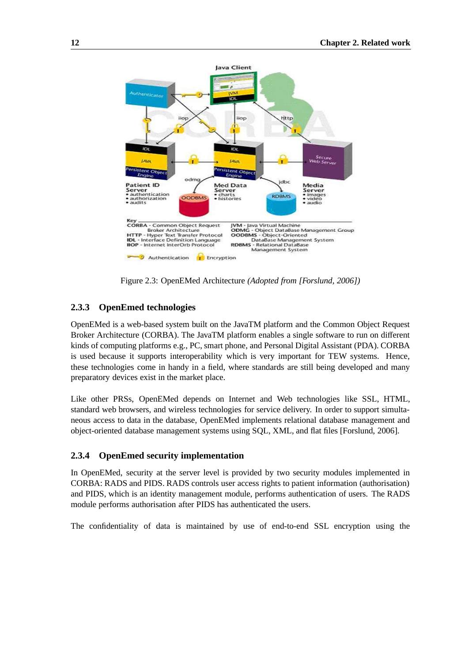

Figure 2.3: OpenEMed Architecture *(Adopted from [Forslund, 2006])*

#### **2.3.3 OpenEmed technologies**

OpenEMed is a web-based system built on the JavaTM platform and the Common Object Request Broker Architecture (CORBA). The JavaTM platform enables a single software to run on different kinds of computing platforms e.g., PC, smart phone, and Personal Digital Assistant (PDA). CORBA is used because it supports interoperability which is very important for TEW systems. Hence, these technologies come in handy in a field, where standards are still being developed and many preparatory devices exist in the market place.

Like other PRSs, OpenEMed depends on Internet and Web technologies like SSL, HTML, standard web browsers, and wireless technologies for service delivery. In order to support simultaneous access to data in the database, OpenEMed implements relational database management and object-oriented database management systems using SQL, XML, and flat files [Forslund, 2006].

#### **2.3.4 OpenEmed security implementation**

In OpenEMed, security at the server level is provided by two security modules implemented in CORBA: RADS and PIDS. RADS controls user access rights to patient information (authorisation) and PIDS, which is an identity management module, performs authentication of users. The RADS module performs authorisation after PIDS has authenticated the users.

The confidentiality of data is maintained by use of end-to-end SSL encryption using the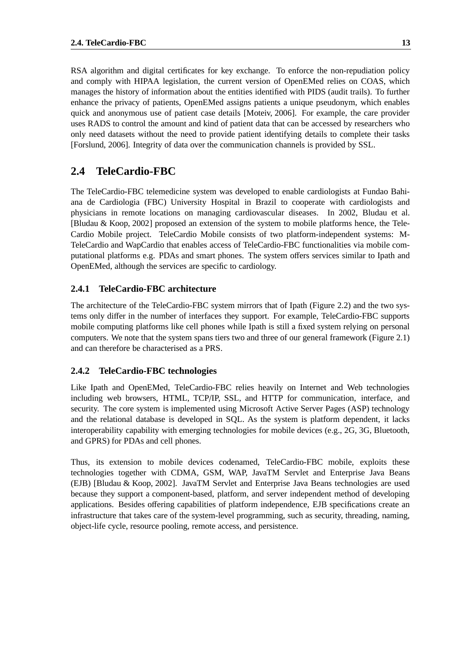RSA algorithm and digital certificates for key exchange. To enforce the non-repudiation policy and comply with HIPAA legislation, the current version of OpenEMed relies on COAS, which manages the history of information about the entities identified with PIDS (audit trails). To further enhance the privacy of patients, OpenEMed assigns patients a unique pseudonym, which enables quick and anonymous use of patient case details [Moteiv, 2006]. For example, the care provider uses RADS to control the amount and kind of patient data that can be accessed by researchers who only need datasets without the need to provide patient identifying details to complete their tasks [Forslund, 2006]. Integrity of data over the communication channels is provided by SSL.

#### **2.4 TeleCardio-FBC**

The TeleCardio-FBC telemedicine system was developed to enable cardiologists at Fundao Bahiana de Cardiologia (FBC) University Hospital in Brazil to cooperate with cardiologists and physicians in remote locations on managing cardiovascular diseases. In 2002, Bludau et al. [Bludau & Koop, 2002] proposed an extension of the system to mobile platforms hence, the Tele-Cardio Mobile project. TeleCardio Mobile consists of two platform-independent systems: M-TeleCardio and WapCardio that enables access of TeleCardio-FBC functionalities via mobile computational platforms e.g. PDAs and smart phones. The system offers services similar to Ipath and OpenEMed, although the services are specific to cardiology.

#### **2.4.1 TeleCardio-FBC architecture**

The architecture of the TeleCardio-FBC system mirrors that of Ipath (Figure 2.2) and the two systems only differ in the number of interfaces they support. For example, TeleCardio-FBC supports mobile computing platforms like cell phones while Ipath is still a fixed system relying on personal computers. We note that the system spans tiers two and three of our general framework (Figure 2.1) and can therefore be characterised as a PRS.

#### **2.4.2 TeleCardio-FBC technologies**

Like Ipath and OpenEMed, TeleCardio-FBC relies heavily on Internet and Web technologies including web browsers, HTML, TCP/IP, SSL, and HTTP for communication, interface, and security. The core system is implemented using Microsoft Active Server Pages (ASP) technology and the relational database is developed in SQL. As the system is platform dependent, it lacks interoperability capability with emerging technologies for mobile devices (e.g., 2G, 3G, Bluetooth, and GPRS) for PDAs and cell phones.

Thus, its extension to mobile devices codenamed, TeleCardio-FBC mobile, exploits these technologies together with CDMA, GSM, WAP, JavaTM Servlet and Enterprise Java Beans (EJB) [Bludau & Koop, 2002]. JavaTM Servlet and Enterprise Java Beans technologies are used because they support a component-based, platform, and server independent method of developing applications. Besides offering capabilities of platform independence, EJB specifications create an infrastructure that takes care of the system-level programming, such as security, threading, naming, object-life cycle, resource pooling, remote access, and persistence.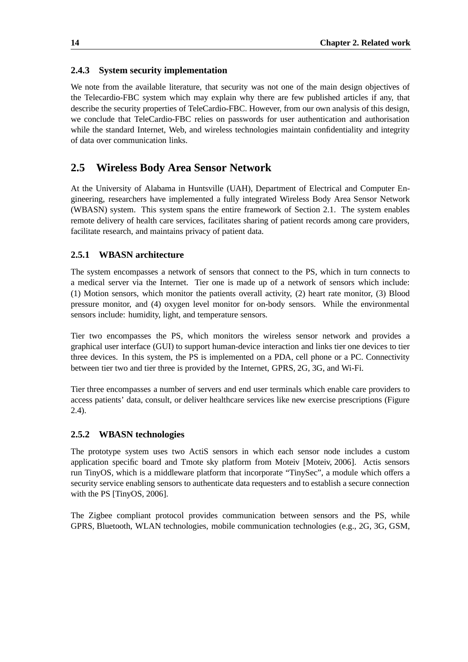#### **2.4.3 System security implementation**

We note from the available literature, that security was not one of the main design objectives of the Telecardio-FBC system which may explain why there are few published articles if any, that describe the security properties of TeleCardio-FBC. However, from our own analysis of this design, we conclude that TeleCardio-FBC relies on passwords for user authentication and authorisation while the standard Internet, Web, and wireless technologies maintain confidentiality and integrity of data over communication links.

#### **2.5 Wireless Body Area Sensor Network**

At the University of Alabama in Huntsville (UAH), Department of Electrical and Computer Engineering, researchers have implemented a fully integrated Wireless Body Area Sensor Network (WBASN) system. This system spans the entire framework of Section 2.1. The system enables remote delivery of health care services, facilitates sharing of patient records among care providers, facilitate research, and maintains privacy of patient data.

#### **2.5.1 WBASN architecture**

The system encompasses a network of sensors that connect to the PS, which in turn connects to a medical server via the Internet. Tier one is made up of a network of sensors which include: (1) Motion sensors, which monitor the patients overall activity, (2) heart rate monitor, (3) Blood pressure monitor, and (4) oxygen level monitor for on-body sensors. While the environmental sensors include: humidity, light, and temperature sensors.

Tier two encompasses the PS, which monitors the wireless sensor network and provides a graphical user interface (GUI) to support human-device interaction and links tier one devices to tier three devices. In this system, the PS is implemented on a PDA, cell phone or a PC. Connectivity between tier two and tier three is provided by the Internet, GPRS, 2G, 3G, and Wi-Fi.

Tier three encompasses a number of servers and end user terminals which enable care providers to access patients' data, consult, or deliver healthcare services like new exercise prescriptions (Figure 2.4).

#### **2.5.2 WBASN technologies**

The prototype system uses two ActiS sensors in which each sensor node includes a custom application specific board and Tmote sky platform from Moteiv [Moteiv, 2006]. Actis sensors run TinyOS, which is a middleware platform that incorporate "TinySec", a module which offers a security service enabling sensors to authenticate data requesters and to establish a secure connection with the PS [TinyOS, 2006].

The Zigbee compliant protocol provides communication between sensors and the PS, while GPRS, Bluetooth, WLAN technologies, mobile communication technologies (e.g., 2G, 3G, GSM,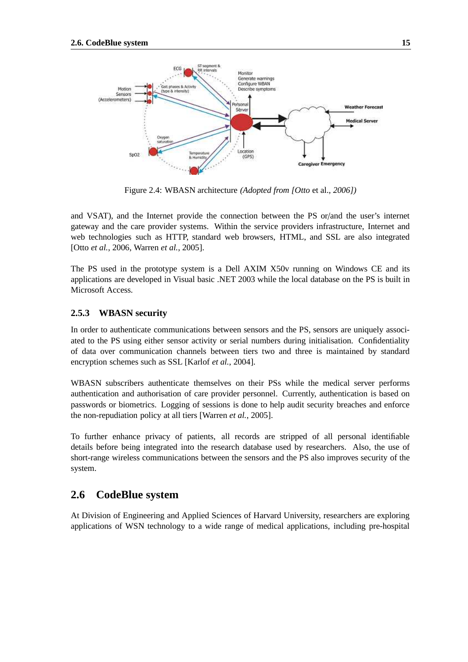

Figure 2.4: WBASN architecture *(Adopted from [Otto* et al.*, 2006])*

and VSAT), and the Internet provide the connection between the PS or/and the user's internet gateway and the care provider systems. Within the service providers infrastructure, Internet and web technologies such as HTTP, standard web browsers, HTML, and SSL are also integrated [Otto *et al.*, 2006, Warren *et al.*, 2005].

The PS used in the prototype system is a Dell AXIM X50v running on Windows CE and its applications are developed in Visual basic .NET 2003 while the local database on the PS is built in Microsoft Access.

#### **2.5.3 WBASN security**

In order to authenticate communications between sensors and the PS, sensors are uniquely associated to the PS using either sensor activity or serial numbers during initialisation. Confidentiality of data over communication channels between tiers two and three is maintained by standard encryption schemes such as SSL [Karlof *et al.*, 2004].

WBASN subscribers authenticate themselves on their PSs while the medical server performs authentication and authorisation of care provider personnel. Currently, authentication is based on passwords or biometrics. Logging of sessions is done to help audit security breaches and enforce the non-repudiation policy at all tiers [Warren *et al.*, 2005].

To further enhance privacy of patients, all records are stripped of all personal identifiable details before being integrated into the research database used by researchers. Also, the use of short-range wireless communications between the sensors and the PS also improves security of the system.

#### **2.6 CodeBlue system**

At Division of Engineering and Applied Sciences of Harvard University, researchers are exploring applications of WSN technology to a wide range of medical applications, including pre-hospital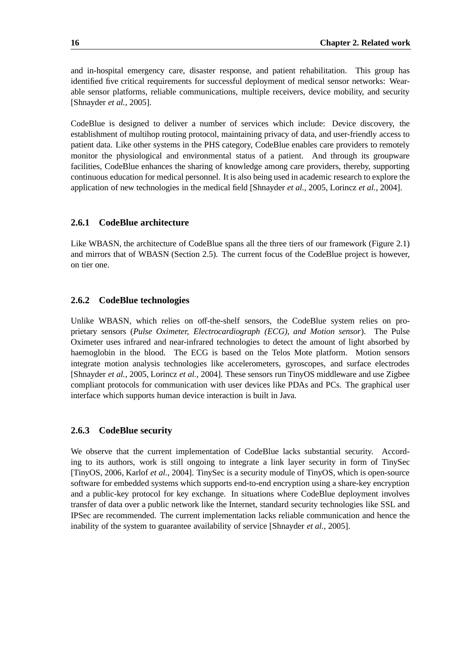and in-hospital emergency care, disaster response, and patient rehabilitation. This group has identified five critical requirements for successful deployment of medical sensor networks: Wearable sensor platforms, reliable communications, multiple receivers, device mobility, and security [Shnayder *et al.*, 2005].

CodeBlue is designed to deliver a number of services which include: Device discovery, the establishment of multihop routing protocol, maintaining privacy of data, and user-friendly access to patient data. Like other systems in the PHS category, CodeBlue enables care providers to remotely monitor the physiological and environmental status of a patient. And through its groupware facilities, CodeBlue enhances the sharing of knowledge among care providers, thereby, supporting continuous education for medical personnel. It is also being used in academic research to explore the application of new technologies in the medical field [Shnayder *et al.*, 2005, Lorincz *et al.*, 2004].

#### **2.6.1 CodeBlue architecture**

Like WBASN, the architecture of CodeBlue spans all the three tiers of our framework (Figure 2.1) and mirrors that of WBASN (Section 2.5). The current focus of the CodeBlue project is however, on tier one.

#### **2.6.2 CodeBlue technologies**

Unlike WBASN, which relies on off-the-shelf sensors, the CodeBlue system relies on proprietary sensors (*Pulse Oximeter, Electrocardiograph (ECG), and Motion sensor*). The Pulse Oximeter uses infrared and near-infrared technologies to detect the amount of light absorbed by haemoglobin in the blood. The ECG is based on the Telos Mote platform. Motion sensors integrate motion analysis technologies like accelerometers, gyroscopes, and surface electrodes [Shnayder *et al.*, 2005, Lorincz *et al.*, 2004]. These sensors run TinyOS middleware and use Zigbee compliant protocols for communication with user devices like PDAs and PCs. The graphical user interface which supports human device interaction is built in Java.

#### **2.6.3 CodeBlue security**

We observe that the current implementation of CodeBlue lacks substantial security. According to its authors, work is still ongoing to integrate a link layer security in form of TinySec [TinyOS, 2006, Karlof *et al.*, 2004]. TinySec is a security module of TinyOS, which is open-source software for embedded systems which supports end-to-end encryption using a share-key encryption and a public-key protocol for key exchange. In situations where CodeBlue deployment involves transfer of data over a public network like the Internet, standard security technologies like SSL and IPSec are recommended. The current implementation lacks reliable communication and hence the inability of the system to guarantee availability of service [Shnayder *et al.*, 2005].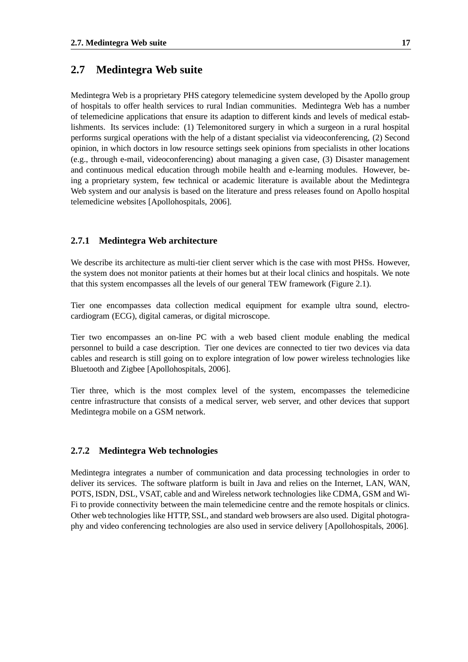#### **2.7 Medintegra Web suite**

Medintegra Web is a proprietary PHS category telemedicine system developed by the Apollo group of hospitals to offer health services to rural Indian communities. Medintegra Web has a number of telemedicine applications that ensure its adaption to different kinds and levels of medical establishments. Its services include: (1) Telemonitored surgery in which a surgeon in a rural hospital performs surgical operations with the help of a distant specialist via videoconferencing, (2) Second opinion, in which doctors in low resource settings seek opinions from specialists in other locations (e.g., through e-mail, videoconferencing) about managing a given case, (3) Disaster management and continuous medical education through mobile health and e-learning modules. However, being a proprietary system, few technical or academic literature is available about the Medintegra Web system and our analysis is based on the literature and press releases found on Apollo hospital telemedicine websites [Apollohospitals, 2006].

#### **2.7.1 Medintegra Web architecture**

We describe its architecture as multi-tier client server which is the case with most PHSs. However, the system does not monitor patients at their homes but at their local clinics and hospitals. We note that this system encompasses all the levels of our general TEW framework (Figure 2.1).

Tier one encompasses data collection medical equipment for example ultra sound, electrocardiogram (ECG), digital cameras, or digital microscope.

Tier two encompasses an on-line PC with a web based client module enabling the medical personnel to build a case description. Tier one devices are connected to tier two devices via data cables and research is still going on to explore integration of low power wireless technologies like Bluetooth and Zigbee [Apollohospitals, 2006].

Tier three, which is the most complex level of the system, encompasses the telemedicine centre infrastructure that consists of a medical server, web server, and other devices that support Medintegra mobile on a GSM network.

#### **2.7.2 Medintegra Web technologies**

Medintegra integrates a number of communication and data processing technologies in order to deliver its services. The software platform is built in Java and relies on the Internet, LAN, WAN, POTS, ISDN, DSL, VSAT, cable and and Wireless network technologies like CDMA, GSM and Wi-Fi to provide connectivity between the main telemedicine centre and the remote hospitals or clinics. Other web technologies like HTTP, SSL, and standard web browsers are also used. Digital photography and video conferencing technologies are also used in service delivery [Apollohospitals, 2006].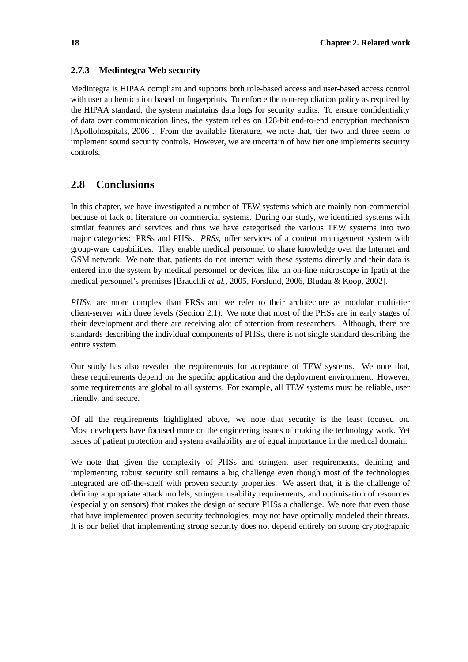#### **2.7.3 Medintegra Web security**

Medintegra is HIPAA compliant and supports both role-based access and user-based access control with user authentication based on fingerprints. To enforce the non-repudiation policy as required by the HIPAA standard, the system maintains data logs for security audits. To ensure confidentiality of data over communication lines, the system relies on 128-bit end-to-end encryption mechanism [Apollohospitals, 2006]. From the available literature, we note that, tier two and three seem to implement sound security controls. However, we are uncertain of how tier one implements security controls.

#### **2.8 Conclusions**

In this chapter, we have investigated a number of TEW systems which are mainly non-commercial because of lack of literature on commercial systems. During our study, we identified systems with similar features and services and thus we have categorised the various TEW systems into two major categories: PRSs and PHSs. *PRSs*, offer services of a content management system with group-ware capabilities. They enable medical personnel to share knowledge over the Internet and GSM network. We note that, patients do not interact with these systems directly and their data is entered into the system by medical personnel or devices like an on-line microscope in Ipath at the medical personnel's premises [Brauchli *et al.*, 2005, Forslund, 2006, Bludau & Koop, 2002].

*PHSs*, are more complex than PRSs and we refer to their architecture as modular multi-tier client-server with three levels (Section 2.1). We note that most of the PHSs are in early stages of their development and there are receiving alot of attention from researchers. Although, there are standards describing the individual components of PHSs, there is not single standard describing the entire system.

Our study has also revealed the requirements for acceptance of TEW systems. We note that, these requirements depend on the specific application and the deployment environment. However, some requirements are global to all systems. For example, all TEW systems must be reliable, user friendly, and secure.

Of all the requirements highlighted above, we note that security is the least focused on. Most developers have focused more on the engineering issues of making the technology work. Yet issues of patient protection and system availability are of equal importance in the medical domain.

We note that given the complexity of PHSs and stringent user requirements, defining and implementing robust security still remains a big challenge even though most of the technologies integrated are off-the-shelf with proven security properties. We assert that, it is the challenge of defining appropriate attack models, stringent usability requirements, and optimisation of resources (especially on sensors) that makes the design of secure PHSs a challenge. We note that even those that have implemented proven security technologies, may not have optimally modeled their threats. It is our belief that implementing strong security does not depend entirely on strong cryptographic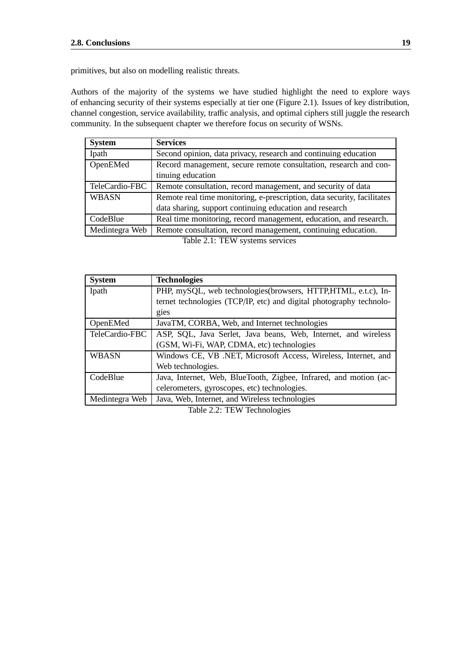primitives, but also on modelling realistic threats.

Authors of the majority of the systems we have studied highlight the need to explore ways of enhancing security of their systems especially at tier one (Figure 2.1). Issues of key distribution, channel congestion, service availability, traffic analysis, and optimal ciphers still juggle the research community. In the subsequent chapter we therefore focus on security of WSNs.

| <b>System</b>  | <b>Services</b>                                                         |
|----------------|-------------------------------------------------------------------------|
| Ipath          | Second opinion, data privacy, research and continuing education         |
| OpenEMed       | Record management, secure remote consultation, research and con-        |
|                | tinuing education                                                       |
| TeleCardio-FBC | Remote consultation, record management, and security of data            |
| <b>WBASN</b>   | Remote real time monitoring, e-prescription, data security, facilitates |
|                | data sharing, support continuing education and research                 |
| CodeBlue       | Real time monitoring, record management, education, and research.       |
| Medintegra Web | Remote consultation, record management, continuing education.           |
|                | Table 2.1: TEW systems services                                         |

| <b>System</b>  | <b>Technologies</b>                                                 |
|----------------|---------------------------------------------------------------------|
| Ipath          | PHP, mySQL, web technologies (browsers, HTTP, HTML, e.t.c), In-     |
|                | ternet technologies (TCP/IP, etc) and digital photography technolo- |
|                | gies                                                                |
| OpenEMed       | JavaTM, CORBA, Web, and Internet technologies                       |
| TeleCardio-FBC | ASP, SQL, Java Serlet, Java beans, Web, Internet, and wireless      |
|                | (GSM, Wi-Fi, WAP, CDMA, etc) technologies                           |
| <b>WBASN</b>   | Windows CE, VB .NET, Microsoft Access, Wireless, Internet, and      |
|                | Web technologies.                                                   |
| CodeBlue       | Java, Internet, Web, BlueTooth, Zigbee, Infrared, and motion (ac-   |
|                | celerometers, gyroscopes, etc) technologies.                        |
| Medintegra Web | Java, Web, Internet, and Wireless technologies                      |
|                |                                                                     |

Table 2.2: TEW Technologies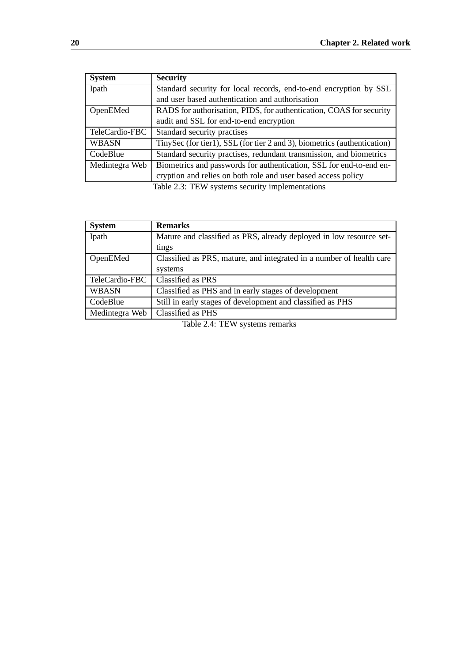| <b>System</b>  | <b>Security</b>                                                          |
|----------------|--------------------------------------------------------------------------|
| Ipath          | Standard security for local records, end-to-end encryption by SSL        |
|                | and user based authentication and authorisation                          |
| OpenEMed       | RADS for authorisation, PIDS, for authentication, COAS for security      |
|                | audit and SSL for end-to-end encryption                                  |
| TeleCardio-FBC | Standard security practises                                              |
| <b>WBASN</b>   | TinySec (for tier1), SSL (for tier 2 and 3), biometrics (authentication) |
| CodeBlue       | Standard security practises, redundant transmission, and biometrics      |
| Medintegra Web | Biometrics and passwords for authentication, SSL for end-to-end en-      |
|                | cryption and relies on both role and user based access policy            |
|                | Table 2.3: TEW systems security implementations                          |

| <b>Remarks</b>                                                       |
|----------------------------------------------------------------------|
| Mature and classified as PRS, already deployed in low resource set-  |
| tings                                                                |
| Classified as PRS, mature, and integrated in a number of health care |
| systems                                                              |
| Classified as PRS                                                    |
| Classified as PHS and in early stages of development                 |
| Still in early stages of development and classified as PHS           |
| Classified as PHS                                                    |
|                                                                      |

Table 2.4: TEW systems remarks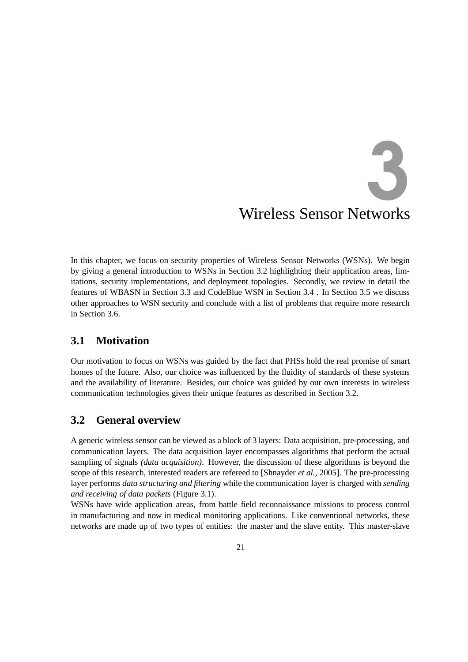# Wireless Sensor Netw orks 3

In this chapter, we focus on security properties of Wireless Sensor Networks (WSNs). We begin by giving a general introduction to WSNs in Section 3.2 highlighting their application areas, limitations, security implementations, and deployment topologies. Secondly, we review in detail the features of WBASN in Section 3.3 and CodeBlue WSN in Section 3.4 . In Section 3.5 we discuss other approaches to WSN security and conclude with a list of problems that require more research in Section 3.6.

#### **3.1 Motivation**

Our motivation to focus on WSNs was guided by the fact that PHSs hold the real promise of smart homes of the future. Also, our choice was influenced by the fluidity of standards of these systems and the availability of literature. Besides, our choice was guided by our own interests in wireless communication technologies given their unique features as described in Section 3.2.

#### **3.2 General overview**

A generic wireless sensor can be viewed as a block of 3 layers: Data acquisition, pre-processing, and communication layers. The data acquisition layer encompasses algorithms that perform the actual sampling of signals *(data acquisition)*. However, the discussion of these algorithms is beyond the scope of this research, interested readers are refereed to [Shnayder *et al.*, 2005]. The pre-processing layer performs *data structuring and filtering* while the communication layer is charged with *sending and receiving of data packets* (Figure 3.1).

WSNs have wide application areas, from battle field reconnaissance missions to process control in manufacturing and now in medical monitoring applications. Like conventional networks, these networks are made up of two types of entities: the master and the slave entity. This master-slave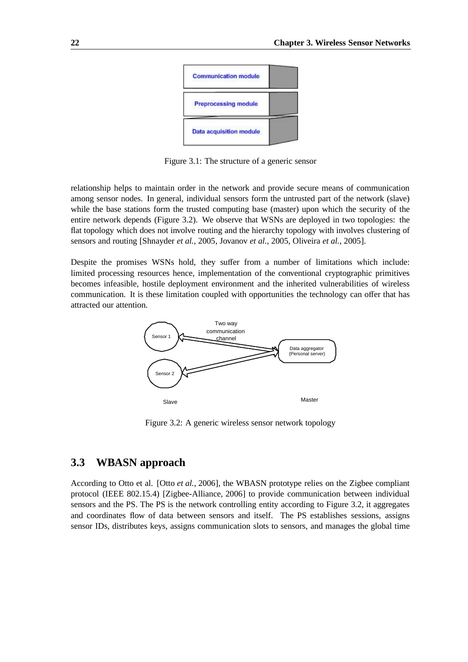

Figure 3.1: The structure of a generic sensor

relationship helps to maintain order in the network and provide secure means of communication among sensor nodes. In general, individual sensors form the untrusted part of the network (slave) while the base stations form the trusted computing base (master) upon which the security of the entire network depends (Figure 3.2). We observe that WSNs are deployed in two topologies: the flat topology which does not involve routing and the hierarchy topology with involves clustering of sensors and routing [Shnayder *et al.*, 2005, Jovanov *et al.*, 2005, Oliveira *et al.*, 2005].

Despite the promises WSNs hold, they suffer from a number of limitations which include: limited processing resources hence, implementation of the conventional cryptographic primitives becomes infeasible, hostile deployment environment and the inherited vulnerabilities of wireless communication. It is these limitation coupled with opportunities the technology can offer that has attracted our attention.



Figure 3.2: A generic wireless sensor network topology

#### **3.3 WBASN approach**

According to Otto et al. [Otto *et al.*, 2006], the WBASN prototype relies on the Zigbee compliant protocol (IEEE 802.15.4) [Zigbee-Alliance, 2006] to provide communication between individual sensors and the PS. The PS is the network controlling entity according to Figure 3.2, it aggregates and coordinates flow of data between sensors and itself. The PS establishes sessions, assigns sensor IDs, distributes keys, assigns communication slots to sensors, and manages the global time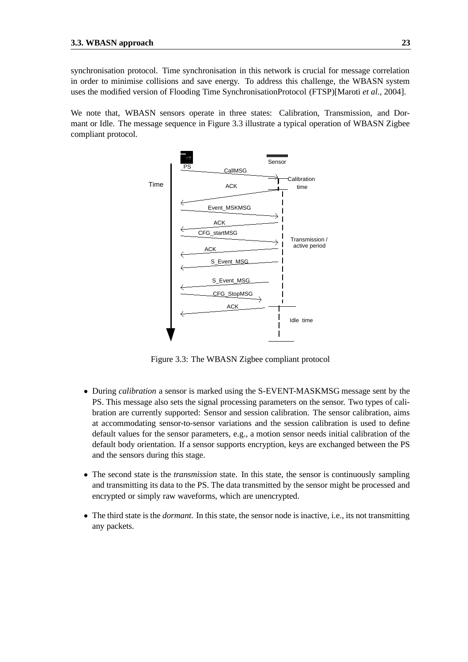synchronisation protocol. Time synchronisation in this network is crucial for message correlation in order to minimise collisions and save energy. To address this challenge, the WBASN system uses the modified version of Flooding Time SynchronisationProtocol (FTSP)[Maroti *et al.*, 2004].

We note that, WBASN sensors operate in three states: Calibration, Transmission, and Dormant or Idle. The message sequence in Figure 3.3 illustrate a typical operation of WBASN Zigbee compliant protocol.



Figure 3.3: The WBASN Zigbee compliant protocol

- During *calibration* a sensor is marked using the S-EVENT-MASKMSG message sent by the PS. This message also sets the signal processing parameters on the sensor. Two types of calibration are currently supported: Sensor and session calibration. The sensor calibration, aims at accommodating sensor-to-sensor variations and the session calibration is used to define default values for the sensor parameters, e.g., a motion sensor needs initial calibration of the default body orientation. If a sensor supports encryption, keys are exchanged between the PS and the sensors during this stage.
- The second state is the *transmission* state. In this state, the sensor is continuously sampling and transmitting its data to the PS. The data transmitted by the sensor might be processed and encrypted or simply raw waveforms, which are unencrypted.
- The third state is the *dormant*. In this state, the sensor node is inactive, i.e., its not transmitting any packets.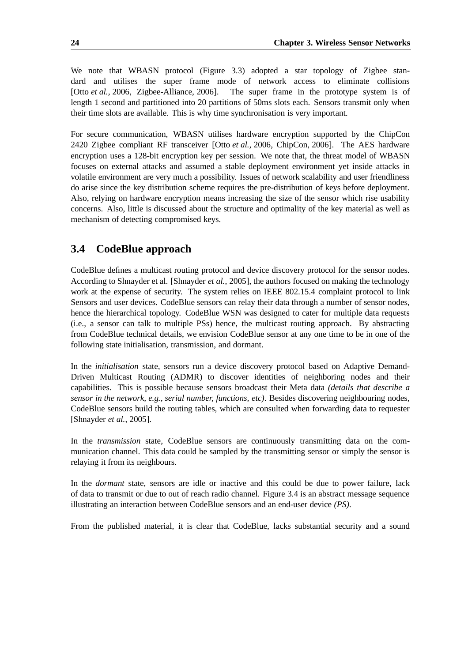We note that WBASN protocol (Figure 3.3) adopted a star topology of Zigbee standard and utilises the super frame mode of network access to eliminate collisions [Otto *et al.*, 2006, Zigbee-Alliance, 2006]. The super frame in the prototype system is of length 1 second and partitioned into 20 partitions of 50ms slots each. Sensors transmit only when their time slots are available. This is why time synchronisation is very important.

For secure communication, WBASN utilises hardware encryption supported by the ChipCon 2420 Zigbee compliant RF transceiver [Otto *et al.*, 2006, ChipCon, 2006]. The AES hardware encryption uses a 128-bit encryption key per session. We note that, the threat model of WBASN focuses on external attacks and assumed a stable deployment environment yet inside attacks in volatile environment are very much a possibility. Issues of network scalability and user friendliness do arise since the key distribution scheme requires the pre-distribution of keys before deployment. Also, relying on hardware encryption means increasing the size of the sensor which rise usability concerns. Also, little is discussed about the structure and optimality of the key material as well as mechanism of detecting compromised keys.

#### **3.4 CodeBlue approach**

CodeBlue defines a multicast routing protocol and device discovery protocol for the sensor nodes. According to Shnayder et al. [Shnayder *et al.*, 2005], the authors focused on making the technology work at the expense of security. The system relies on IEEE 802.15.4 complaint protocol to link Sensors and user devices. CodeBlue sensors can relay their data through a number of sensor nodes, hence the hierarchical topology. CodeBlue WSN was designed to cater for multiple data requests (i.e., a sensor can talk to multiple PSs) hence, the multicast routing approach. By abstracting from CodeBlue technical details, we envision CodeBlue sensor at any one time to be in one of the following state initialisation, transmission, and dormant.

In the *initialisation* state, sensors run a device discovery protocol based on Adaptive Demand-Driven Multicast Routing (ADMR) to discover identities of neighboring nodes and their capabilities. This is possible because sensors broadcast their Meta data *(details that describe a sensor in the network, e.g., serial number, functions, etc)*. Besides discovering neighbouring nodes, CodeBlue sensors build the routing tables, which are consulted when forwarding data to requester [Shnayder *et al.*, 2005].

In the *transmission* state, CodeBlue sensors are continuously transmitting data on the communication channel. This data could be sampled by the transmitting sensor or simply the sensor is relaying it from its neighbours.

In the *dormant* state, sensors are idle or inactive and this could be due to power failure, lack of data to transmit or due to out of reach radio channel. Figure 3.4 is an abstract message sequence illustrating an interaction between CodeBlue sensors and an end-user device *(PS)*.

From the published material, it is clear that CodeBlue, lacks substantial security and a sound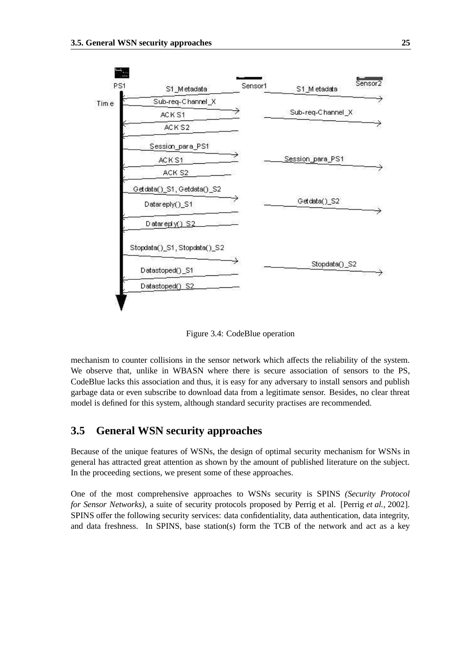

Figure 3.4: CodeBlue operation

mechanism to counter collisions in the sensor network which affects the reliability of the system. We observe that, unlike in WBASN where there is secure association of sensors to the PS, CodeBlue lacks this association and thus, it is easy for any adversary to install sensors and publish garbage data or even subscribe to download data from a legitimate sensor. Besides, no clear threat model is defined for this system, although standard security practises are recommended.

#### **3.5 General WSN security approaches**

Because of the unique features of WSNs, the design of optimal security mechanism for WSNs in general has attracted great attention as shown by the amount of published literature on the subject. In the proceeding sections, we present some of these approaches.

One of the most comprehensive approaches to WSNs security is SPINS *(Security Protocol for Sensor Networks)*, a suite of security protocols proposed by Perrig et al. [Perrig *et al.*, 2002]. SPINS offer the following security services: data confidentiality, data authentication, data integrity, and data freshness. In SPINS, base station(s) form the TCB of the network and act as a key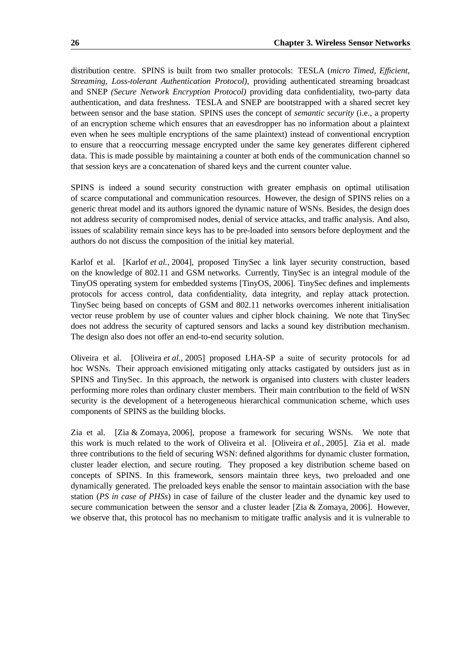distribution centre. SPINS is built from two smaller protocols: TESLA (*micro Timed, E*ffi*cient, Streaming, Loss-tolerant Authentication Protocol)*, providing authenticated streaming broadcast and SNEP *(Secure Network Encryption Protocol)* providing data confidentiality, two-party data authentication, and data freshness. TESLA and SNEP are bootstrapped with a shared secret key between sensor and the base station. SPINS uses the concept of *semantic security* (i.e., a property of an encryption scheme which ensures that an eavesdropper has no information about a plaintext even when he sees multiple encryptions of the same plaintext) instead of conventional encryption to ensure that a reoccurring message encrypted under the same key generates different ciphered data. This is made possible by maintaining a counter at both ends of the communication channel so that session keys are a concatenation of shared keys and the current counter value.

SPINS is indeed a sound security construction with greater emphasis on optimal utilisation of scarce computational and communication resources. However, the design of SPINS relies on a generic threat model and its authors ignored the dynamic nature of WSNs. Besides, the design does not address security of compromised nodes, denial of service attacks, and traffic analysis. And also, issues of scalability remain since keys has to be pre-loaded into sensors before deployment and the authors do not discuss the composition of the initial key material.

Karlof et al. [Karlof *et al.*, 2004], proposed TinySec a link layer security construction, based on the knowledge of 802.11 and GSM networks. Currently, TinySec is an integral module of the TinyOS operating system for embedded systems [TinyOS, 2006]. TinySec defines and implements protocols for access control, data confidentiality, data integrity, and replay attack protection. TinySec being based on concepts of GSM and 802.11 networks overcomes inherent initialisation vector reuse problem by use of counter values and cipher block chaining. We note that TinySec does not address the security of captured sensors and lacks a sound key distribution mechanism. The design also does not offer an end-to-end security solution.

Oliveira et al. [Oliveira *et al.*, 2005] proposed LHA-SP a suite of security protocols for ad hoc WSNs. Their approach envisioned mitigating only attacks castigated by outsiders just as in SPINS and TinySec. In this approach, the network is organised into clusters with cluster leaders performing more roles than ordinary cluster members. Their main contribution to the field of WSN security is the development of a heterogeneous hierarchical communication scheme, which uses components of SPINS as the building blocks.

Zia et al. [Zia & Zomaya, 2006], propose a framework for securing WSNs. We note that this work is much related to the work of Oliveira et al. [Oliveira *et al.*, 2005]. Zia et al. made three contributions to the field of securing WSN: defined algorithms for dynamic cluster formation, cluster leader election, and secure routing. They proposed a key distribution scheme based on concepts of SPINS. In this framework, sensors maintain three keys, two preloaded and one dynamically generated. The preloaded keys enable the sensor to maintain association with the base station (*PS in case of PHSs*) in case of failure of the cluster leader and the dynamic key used to secure communication between the sensor and a cluster leader [Zia & Zomaya, 2006]. However, we observe that, this protocol has no mechanism to mitigate traffic analysis and it is vulnerable to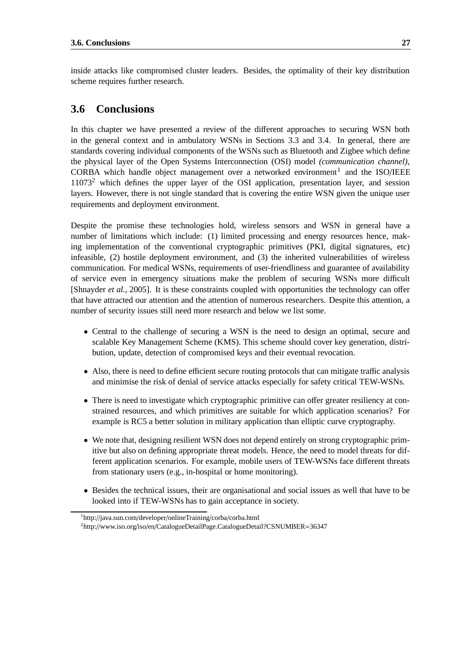inside attacks like compromised cluster leaders. Besides, the optimality of their key distribution scheme requires further research.

#### **3.6 Conclusions**

In this chapter we have presented a review of the different approaches to securing WSN both in the general context and in ambulatory WSNs in Sections 3.3 and 3.4. In general, there are standards covering individual components of the WSNs such as Bluetooth and Zigbee which define the physical layer of the Open Systems Interconnection (OSI) model *(communication channel)*, CORBA which handle object management over a networked environment<sup>1</sup> and the ISO/IEEE 11073<sup>2</sup> which defines the upper layer of the OSI application, presentation layer, and session layers. However, there is not single standard that is covering the entire WSN given the unique user requirements and deployment environment.

Despite the promise these technologies hold, wireless sensors and WSN in general have a number of limitations which include: (1) limited processing and energy resources hence, making implementation of the conventional cryptographic primitives (PKI, digital signatures, etc) infeasible, (2) hostile deployment environment, and (3) the inherited vulnerabilities of wireless communication. For medical WSNs, requirements of user-friendliness and guarantee of availability of service even in emergency situations make the problem of securing WSNs more difficult [Shnayder *et al.*, 2005]. It is these constraints coupled with opportunities the technology can offer that have attracted our attention and the attention of numerous researchers. Despite this attention, a number of security issues still need more research and below we list some.

- Central to the challenge of securing a WSN is the need to design an optimal, secure and scalable Key Management Scheme (KMS). This scheme should cover key generation, distribution, update, detection of compromised keys and their eventual revocation.
- Also, there is need to define efficient secure routing protocols that can mitigate traffic analysis and minimise the risk of denial of service attacks especially for safety critical TEW-WSNs.
- There is need to investigate which cryptographic primitive can offer greater resiliency at constrained resources, and which primitives are suitable for which application scenarios? For example is RC5 a better solution in military application than elliptic curve cryptography.
- We note that, designing resilient WSN does not depend entirely on strong cryptographic primitive but also on defining appropriate threat models. Hence, the need to model threats for different application scenarios. For example, mobile users of TEW-WSNs face different threats from stationary users (e.g., in-hospital or home monitoring).
- Besides the technical issues, their are organisational and social issues as well that have to be looked into if TEW-WSNs has to gain acceptance in society.

<sup>1</sup>http://java.sun.com/developer/onlineTraining/corba/corba.html <sup>2</sup>http://www.iso.org/iso/en/CatalogueDetailPage.CatalogueDetail?CSNUMBER=36347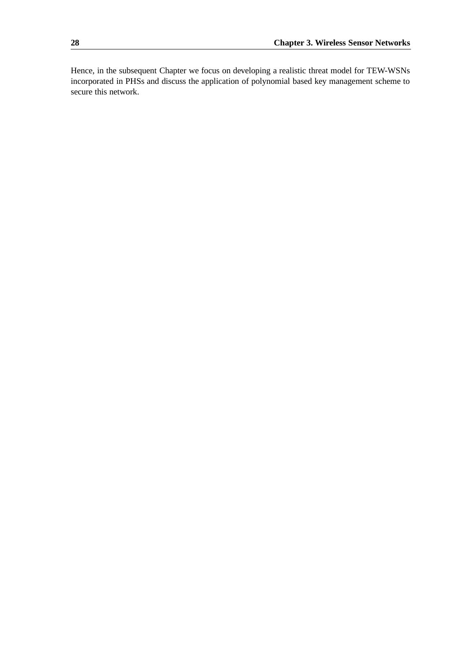Hence, in the subsequent Chapter we focus on developing a realistic threat model for TEW-WSNs incorporated in PHSs and discuss the application of polynomial based key management scheme to secure this network.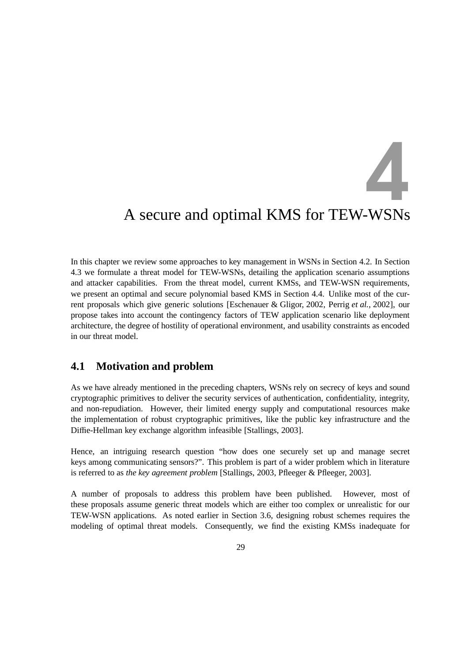# 4

# A secure and optimal KMS for TEW-WSNs

In this chapter we review some approaches to key management in WSNs in Section 4.2. In Section 4.3 we formulate a threat model for TEW-WSNs, detailing the application scenario assumptions and attacker capabilities. From the threat model, current KMSs, and TEW-WSN requirements, we present an optimal and secure polynomial based KMS in Section 4.4. Unlike most of the current proposals which give generic solutions [Eschenauer & Gligor, 2002, Perrig *et al.*, 2002], our propose takes into account the contingency factors of TEW application scenario like deployment architecture, the degree of hostility of operational environment, and usability constraints as encoded in our threat model.

#### **4.1 Motivation and problem**

As we have already mentioned in the preceding chapters, WSNs rely on secrecy of keys and sound cryptographic primitives to deliver the security services of authentication, confidentiality, integrity, and non-repudiation. However, their limited energy supply and computational resources make the implementation of robust cryptographic primitives, like the public key infrastructure and the Diffie-Hellman key exchange algorithm infeasible [Stallings, 2003].

Hence, an intriguing research question "how does one securely set up and manage secret keys among communicating sensors?". This problem is part of a wider problem which in literature is referred to as *the key agreement problem* [Stallings, 2003, Pfleeger & Pfleeger, 2003].

A number of proposals to address this problem have been published. However, most of these proposals assume generic threat models which are either too complex or unrealistic for our TEW-WSN applications. As noted earlier in Section 3.6, designing robust schemes requires the modeling of optimal threat models. Consequently, we find the existing KMSs inadequate for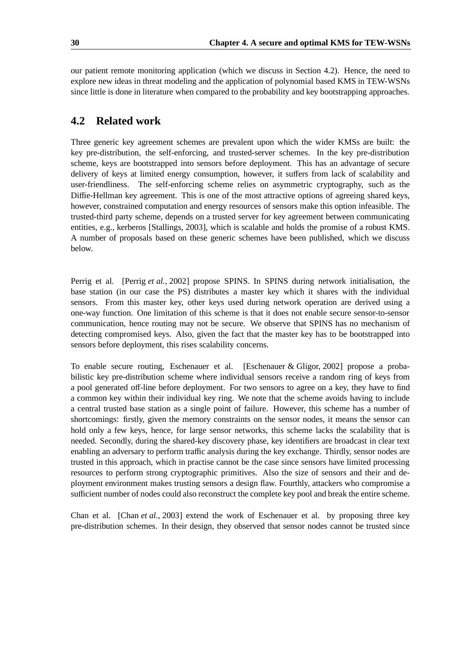our patient remote monitoring application (which we discuss in Section 4.2). Hence, the need to explore new ideas in threat modeling and the application of polynomial based KMS in TEW-WSNs since little is done in literature when compared to the probability and key bootstrapping approaches.

#### **4.2 Related work**

Three generic key agreement schemes are prevalent upon which the wider KMSs are built: the key pre-distribution, the self-enforcing, and trusted-server schemes. In the key pre-distribution scheme, keys are bootstrapped into sensors before deployment. This has an advantage of secure delivery of keys at limited energy consumption, however, it suffers from lack of scalability and user-friendliness. The self-enforcing scheme relies on asymmetric cryptography, such as the Diffie-Hellman key agreement. This is one of the most attractive options of agreeing shared keys, however, constrained computation and energy resources of sensors make this option infeasible. The trusted-third party scheme, depends on a trusted server for key agreement between communicating entities, e.g., kerberos [Stallings, 2003], which is scalable and holds the promise of a robust KMS. A number of proposals based on these generic schemes have been published, which we discuss below.

Perrig et al. [Perrig *et al.*, 2002] propose SPINS. In SPINS during network initialisation, the base station (in our case the PS) distributes a master key which it shares with the individual sensors. From this master key, other keys used during network operation are derived using a one-way function. One limitation of this scheme is that it does not enable secure sensor-to-sensor communication, hence routing may not be secure. We observe that SPINS has no mechanism of detecting compromised keys. Also, given the fact that the master key has to be bootstrapped into sensors before deployment, this rises scalability concerns.

To enable secure routing, Eschenauer et al. [Eschenauer & Gligor, 2002] propose a probabilistic key pre-distribution scheme where individual sensors receive a random ring of keys from a pool generated off-line before deployment. For two sensors to agree on a key, they have to find a common key within their individual key ring. We note that the scheme avoids having to include a central trusted base station as a single point of failure. However, this scheme has a number of shortcomings: firstly, given the memory constraints on the sensor nodes, it means the sensor can hold only a few keys, hence, for large sensor networks, this scheme lacks the scalability that is needed. Secondly, during the shared-key discovery phase, key identifiers are broadcast in clear text enabling an adversary to perform traffic analysis during the key exchange. Thirdly, sensor nodes are trusted in this approach, which in practise cannot be the case since sensors have limited processing resources to perform strong cryptographic primitives. Also the size of sensors and their and deployment environment makes trusting sensors a design flaw. Fourthly, attackers who compromise a sufficient number of nodes could also reconstruct the complete key pool and break the entire scheme.

Chan et al. [Chan *et al.*, 2003] extend the work of Eschenauer et al. by proposing three key pre-distribution schemes. In their design, they observed that sensor nodes cannot be trusted since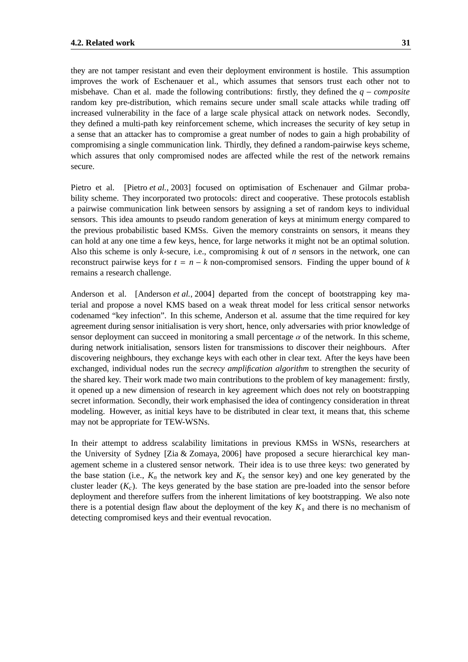they are not tamper resistant and even their deployment environment is hostile. This assumption improves the work of Eschenauer et al., which assumes that sensors trust each other not to misbehave. Chan et al. made the following contributions: firstly, they defined the *q* − *composite* random key pre-distribution, which remains secure under small scale attacks while trading off increased vulnerability in the face of a large scale physical attack on network nodes. Secondly, they defined a multi-path key reinforcement scheme, which increases the security of key setup in a sense that an attacker has to compromise a great number of nodes to gain a high probability of compromising a single communication link. Thirdly, they defined a random-pairwise keys scheme, which assures that only compromised nodes are affected while the rest of the network remains secure.

Pietro et al. [Pietro *et al.*, 2003] focused on optimisation of Eschenauer and Gilmar probability scheme. They incorporated two protocols: direct and cooperative. These protocols establish a pairwise communication link between sensors by assigning a set of random keys to individual sensors. This idea amounts to pseudo random generation of keys at minimum energy compared to the previous probabilistic based KMSs. Given the memory constraints on sensors, it means they can hold at any one time a few keys, hence, for large networks it might not be an optimal solution. Also this scheme is only *k*-secure, i.e., compromising *k* out of *n* sensors in the network, one can reconstruct pairwise keys for  $t = n - k$  non-compromised sensors. Finding the upper bound of  $k$ remains a research challenge.

Anderson et al. [Anderson *et al.*, 2004] departed from the concept of bootstrapping key material and propose a novel KMS based on a weak threat model for less critical sensor networks codenamed "key infection". In this scheme, Anderson et al. assume that the time required for key agreement during sensor initialisation is very short, hence, only adversaries with prior knowledge of sensor deployment can succeed in monitoring a small percentage  $\alpha$  of the network. In this scheme, during network initialisation, sensors listen for transmissions to discover their neighbours. After discovering neighbours, they exchange keys with each other in clear text. After the keys have been exchanged, individual nodes run the *secrecy amplification algorithm* to strengthen the security of the shared key. Their work made two main contributions to the problem of key management: firstly, it opened up a new dimension of research in key agreement which does not rely on bootstrapping secret information. Secondly, their work emphasised the idea of contingency consideration in threat modeling. However, as initial keys have to be distributed in clear text, it means that, this scheme may not be appropriate for TEW-WSNs.

In their attempt to address scalability limitations in previous KMSs in WSNs, researchers at the University of Sydney [Zia & Zomaya, 2006] have proposed a secure hierarchical key management scheme in a clustered sensor network. Their idea is to use three keys: two generated by the base station (i.e.,  $K_n$  the network key and  $K_s$  the sensor key) and one key generated by the cluster leader  $(K_c)$ . The keys generated by the base station are pre-loaded into the sensor before deployment and therefore suffers from the inherent limitations of key bootstrapping. We also note there is a potential design flaw about the deployment of the key  $K_s$  and there is no mechanism of detecting compromised keys and their eventual revocation.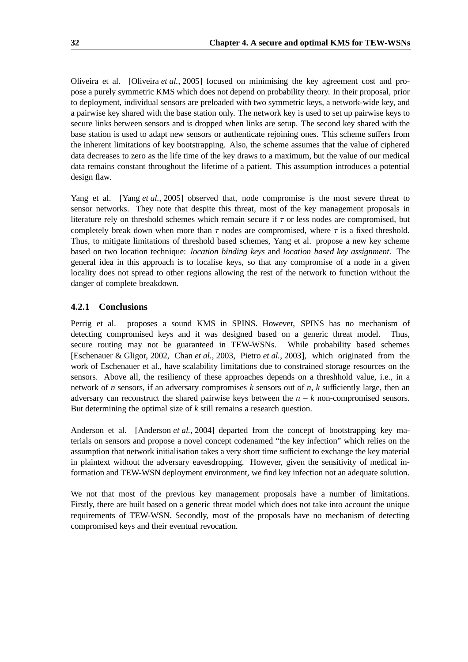Oliveira et al. [Oliveira *et al.*, 2005] focused on minimising the key agreement cost and propose a purely symmetric KMS which does not depend on probability theory. In their proposal, prior to deployment, individual sensors are preloaded with two symmetric keys, a network-wide key, and a pairwise key shared with the base station only. The network key is used to set up pairwise keys to secure links between sensors and is dropped when links are setup. The second key shared with the base station is used to adapt new sensors or authenticate rejoining ones. This scheme suffers from the inherent limitations of key bootstrapping. Also, the scheme assumes that the value of ciphered data decreases to zero as the life time of the key draws to a maximum, but the value of our medical data remains constant throughout the lifetime of a patient. This assumption introduces a potential design flaw.

Yang et al. [Yang *et al.*, 2005] observed that, node compromise is the most severe threat to sensor networks. They note that despite this threat, most of the key management proposals in literature rely on threshold schemes which remain secure if  $\tau$  or less nodes are compromised, but completely break down when more than  $\tau$  nodes are compromised, where  $\tau$  is a fixed threshold. Thus, to mitigate limitations of threshold based schemes, Yang et al. propose a new key scheme based on two location technique: *location binding keys* and *location based key assignment*. The general idea in this approach is to localise keys, so that any compromise of a node in a given locality does not spread to other regions allowing the rest of the network to function without the danger of complete breakdown.

#### **4.2.1 Conclusions**

Perrig et al. proposes a sound KMS in SPINS. However, SPINS has no mechanism of detecting compromised keys and it was designed based on a generic threat model. Thus, secure routing may not be guaranteed in TEW-WSNs. While probability based schemes [Eschenauer & Gligor, 2002, Chan *et al.*, 2003, Pietro *et al.*, 2003], which originated from the work of Eschenauer et al., have scalability limitations due to constrained storage resources on the sensors. Above all, the resiliency of these approaches depends on a threshhold value, i.e., in a network of *n* sensors, if an adversary compromises *k* sensors out of *n*, *k* sufficiently large, then an adversary can reconstruct the shared pairwise keys between the *n* − *k* non-compromised sensors. But determining the optimal size of *k* still remains a research question.

Anderson et al. [Anderson *et al.*, 2004] departed from the concept of bootstrapping key materials on sensors and propose a novel concept codenamed "the key infection" which relies on the assumption that network initialisation takes a very short time sufficient to exchange the key material in plaintext without the adversary eavesdropping. However, given the sensitivity of medical information and TEW-WSN deployment environment, we find key infection not an adequate solution.

We not that most of the previous key management proposals have a number of limitations. Firstly, there are built based on a generic threat model which does not take into account the unique requirements of TEW-WSN. Secondly, most of the proposals have no mechanism of detecting compromised keys and their eventual revocation.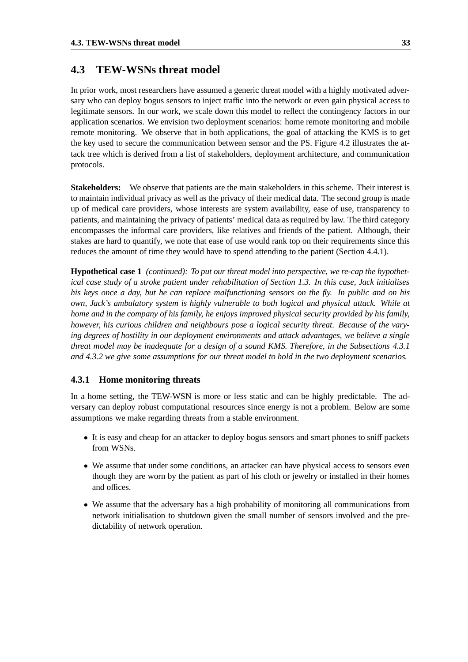#### **4.3 TEW-WSNs threat model**

In prior work, most researchers have assumed a generic threat model with a highly motivated adversary who can deploy bogus sensors to inject traffic into the network or even gain physical access to legitimate sensors. In our work, we scale down this model to reflect the contingency factors in our application scenarios. We envision two deployment scenarios: home remote monitoring and mobile remote monitoring. We observe that in both applications, the goal of attacking the KMS is to get the key used to secure the communication between sensor and the PS. Figure 4.2 illustrates the attack tree which is derived from a list of stakeholders, deployment architecture, and communication protocols.

**Stakeholders:** We observe that patients are the main stakeholders in this scheme. Their interest is to maintain individual privacy as well as the privacy of their medical data. The second group is made up of medical care providers, whose interests are system availability, ease of use, transparency to patients, and maintaining the privacy of patients' medical data as required by law. The third category encompasses the informal care providers, like relatives and friends of the patient. Although, their stakes are hard to quantify, we note that ease of use would rank top on their requirements since this reduces the amount of time they would have to spend attending to the patient (Section 4.4.1).

**Hypothetical case 1** *(continued): To put our threat model into perspective, we re-cap the hypothetical case study of a stroke patient under rehabilitation of Section 1.3. In this case, Jack initialises* his keys once a day, but he can replace malfunctioning sensors on the fly. In public and on his *own, Jack's ambulatory system is highly vulnerable to both logical and physical attack. While at home and in the company of his family, he enjoys improved physical security provided by his family, however, his curious children and neighbours pose a logical security threat. Because of the varying degrees of hostility in our deployment environments and attack advantages, we believe a single threat model may be inadequate for a design of a sound KMS. Therefore, in the Subsections 4.3.1 and 4.3.2 we give some assumptions for our threat model to hold in the two deployment scenarios.*

#### **4.3.1 Home monitoring threats**

In a home setting, the TEW-WSN is more or less static and can be highly predictable. The adversary can deploy robust computational resources since energy is not a problem. Below are some assumptions we make regarding threats from a stable environment.

- It is easy and cheap for an attacker to deploy bogus sensors and smart phones to sniff packets from WSNs.
- We assume that under some conditions, an attacker can have physical access to sensors even though they are worn by the patient as part of his cloth or jewelry or installed in their homes and offices.
- We assume that the adversary has a high probability of monitoring all communications from network initialisation to shutdown given the small number of sensors involved and the predictability of network operation.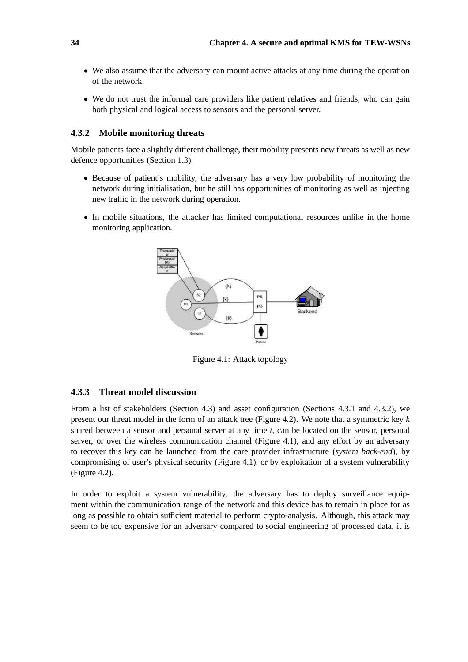- We also assume that the adversary can mount active attacks at any time during the operation of the network.
- We do not trust the informal care providers like patient relatives and friends, who can gain both physical and logical access to sensors and the personal server.

#### **4.3.2 Mobile monitoring threats**

Mobile patients face a slightly different challenge, their mobility presents new threats as well as new defence opportunities (Section 1.3).

- Because of patient's mobility, the adversary has a very low probability of monitoring the network during initialisation, but he still has opportunities of monitoring as well as injecting new traffic in the network during operation.
- In mobile situations, the attacker has limited computational resources unlike in the home monitoring application.



Figure 4.1: Attack topology

#### **4.3.3 Threat model discussion**

From a list of stakeholders (Section 4.3) and asset configuration (Sections 4.3.1 and 4.3.2), we present our threat model in the form of an attack tree (Figure 4.2). We note that a symmetric key *k* shared between a sensor and personal server at any time *t*, can be located on the sensor, personal server, or over the wireless communication channel (Figure 4.1), and any effort by an adversary to recover this key can be launched from the care provider infrastructure (*system back-end*), by compromising of user's physical security (Figure 4.1), or by exploitation of a system vulnerability (Figure 4.2).

In order to exploit a system vulnerability, the adversary has to deploy surveillance equipment within the communication range of the network and this device has to remain in place for as long as possible to obtain sufficient material to perform crypto-analysis. Although, this attack may seem to be too expensive for an adversary compared to social engineering of processed data, it is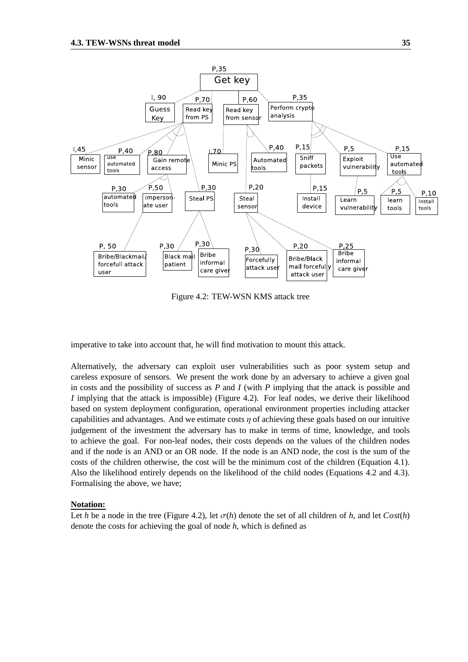

Figure 4.2: TEW-WSN KMS attack tree

imperative to take into account that, he will find motivation to mount this attack.

Alternatively, the adversary can exploit user vulnerabilities such as poor system setup and careless exposure of sensors. We present the work done by an adversary to achieve a given goal in costs and the possibility of success as *P* and *I* (with *P* implying that the attack is possible and *I* implying that the attack is impossible) (Figure 4.2). For leaf nodes, we derive their likelihood based on system deployment configuration, operational environment properties including attacker capabilities and advantages. And we estimate costs  $\eta$  of achieving these goals based on our intuitive judgement of the investment the adversary has to make in terms of time, knowledge, and tools to achieve the goal. For non-leaf nodes, their costs depends on the values of the children nodes and if the node is an AND or an OR node. If the node is an AND node, the cost is the sum of the costs of the children otherwise, the cost will be the minimum cost of the children (Equation 4.1). Also the likelihood entirely depends on the likelihood of the child nodes (Equations 4.2 and 4.3). Formalising the above, we have;

#### **Notation:**

Let *h* be a node in the tree (Figure 4.2), let  $\sigma(h)$  denote the set of all children of *h*, and let  $Cost(h)$ denote the costs for achieving the goal of node *h*, which is defined as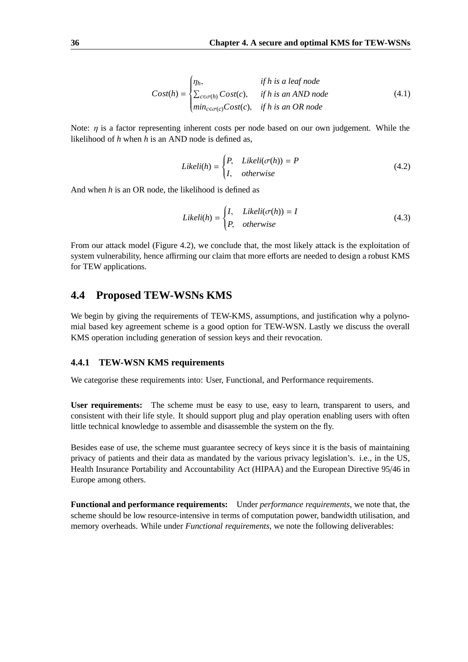$$
Cost(h) = \begin{cases} \eta_h, & \text{if } h \text{ is a leaf node} \\ \sum_{c \in \sigma(h)} Cost(c), & \text{if } h \text{ is an AND node} \\ \min_{c \in \sigma(c)} Cost(c), & \text{if } h \text{ is an OR node} \end{cases} \tag{4.1}
$$

Note:  $\eta$  is a factor representing inherent costs per node based on our own judgement. While the likelihood of *h* when *h* is an AND node is defined as,

$$
Likeli(h) = \begin{cases} P, & Likeli(\sigma(h)) = P \\ I, &otherwise \end{cases}
$$
 (4.2)

And when *h* is an OR node, the likelihood is defined as

$$
Likeli(h) = \begin{cases} I, & Likeli(\sigma(h)) = I \\ P, &otherwise \end{cases}
$$
 (4.3)

From our attack model (Figure 4.2), we conclude that, the most likely attack is the exploitation of system vulnerability, hence affirming our claim that more efforts are needed to design a robust KMS for TEW applications.

#### **4.4 Proposed TEW-WSNs KMS**

We begin by giving the requirements of TEW-KMS, assumptions, and justification why a polynomial based key agreement scheme is a good option for TEW-WSN. Lastly we discuss the overall KMS operation including generation of session keys and their revocation.

#### **4.4.1 TEW-WSN KMS requirements**

We categorise these requirements into: User, Functional, and Performance requirements.

**User requirements:** The scheme must be easy to use, easy to learn, transparent to users, and consistent with their life style. It should support plug and play operation enabling users with often little technical knowledge to assemble and disassemble the system on the fly.

Besides ease of use, the scheme must guarantee secrecy of keys since it is the basis of maintaining privacy of patients and their data as mandated by the various privacy legislation's. i.e., in the US, Health Insurance Portability and Accountability Act (HIPAA) and the European Directive 95/46 in Europe among others.

**Functional and performance requirements:** Under *performance requirements*, we note that, the scheme should be low resource-intensive in terms of computation power, bandwidth utilisation, and memory overheads. While under *Functional requirements*, we note the following deliverables: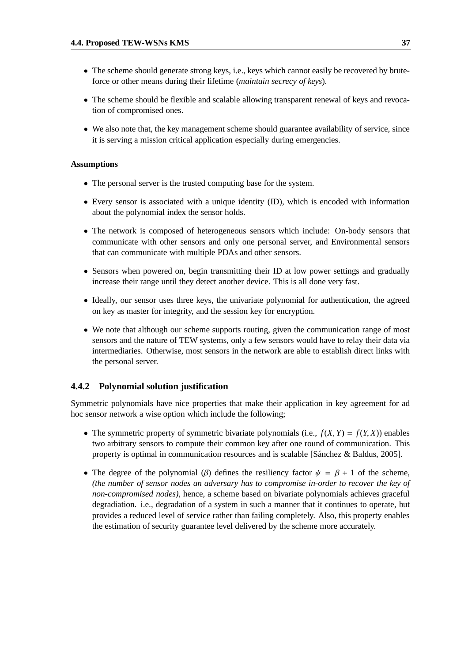- The scheme should generate strong keys, *i.e.*, keys which cannot easily be recovered by bruteforce or other means during their lifetime (*maintain secrecy of keys*).
- The scheme should be flexible and scalable allowing transparent renewal of keys and revocation of compromised ones.
- We also note that, the key management scheme should guarantee availability of service, since it is serving a mission critical application especially during emergencies.

#### **Assumptions**

- The personal server is the trusted computing base for the system.
- Every sensor is associated with a unique identity (ID), which is encoded with information about the polynomial index the sensor holds.
- The network is composed of heterogeneous sensors which include: On-body sensors that communicate with other sensors and only one personal server, and Environmental sensors that can communicate with multiple PDAs and other sensors.
- Sensors when powered on, begin transmitting their ID at low power settings and gradually increase their range until they detect another device. This is all done very fast.
- Ideally, our sensor uses three keys, the univariate polynomial for authentication, the agreed on key as master for integrity, and the session key for encryption.
- We note that although our scheme supports routing, given the communication range of most sensors and the nature of TEW systems, only a few sensors would have to relay their data via intermediaries. Otherwise, most sensors in the network are able to establish direct links with the personal server.

#### **4.4.2 Polynomial solution justification**

Symmetric polynomials have nice properties that make their application in key agreement for ad hoc sensor network a wise option which include the following;

- The symmetric property of symmetric bivariate polynomials (i.e.,  $f(X, Y) = f(Y, X)$ ) enables two arbitrary sensors to compute their common key after one round of communication. This property is optimal in communication resources and is scalable [Sanchez  $\&$  Baldus, 2005].
- The degree of the polynomial ( $\beta$ ) defines the resiliency factor  $\psi = \beta + 1$  of the scheme, *(the number of sensor nodes an adversary has to compromise in-order to recover the key of non-compromised nodes)*, hence, a scheme based on bivariate polynomials achieves graceful degradiation. i.e., degradation of a system in such a manner that it continues to operate, but provides a reduced level of service rather than failing completely. Also, this property enables the estimation of security guarantee level delivered by the scheme more accurately.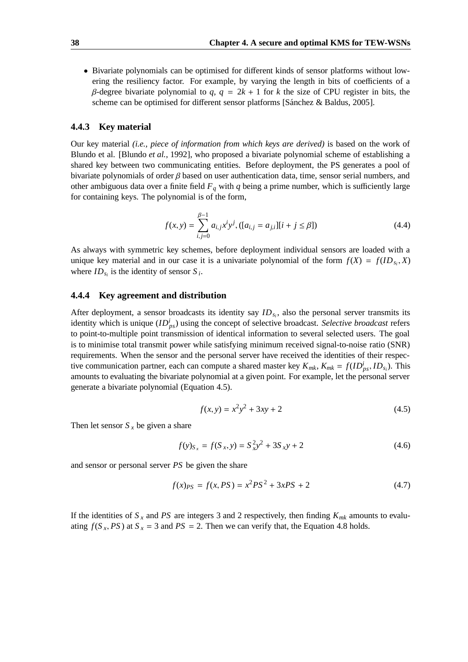• Bivariate polynomials can be optimised for different kinds of sensor platforms without lowering the resiliency factor. For example, by varying the length in bits of coefficients of a β-degree bivariate polynomial to *q*, *q* = 2*k* + 1 for *k* the size of CPU register in bits, the scheme can be optimised for different sensor platforms [Sánchez  $&$  Baldus, 2005].

#### **4.4.3 Key material**

Our key material *(i.e., piece of information from which keys are derived)* is based on the work of Blundo et al. [Blundo *et al.*, 1992], who proposed a bivariate polynomial scheme of establishing a shared key between two communicating entities. Before deployment, the PS generates a pool of bivariate polynomials of order  $\beta$  based on user authentication data, time, sensor serial numbers, and other ambiguous data over a finite field  $F_q$  with  $q$  being a prime number, which is sufficiently large for containing keys. The polynomial is of the form,

$$
f(x, y) = \sum_{i, j=0}^{\beta - 1} a_{i, j} x^i y^j, ([a_{i, j} = a_{j, i}][i + j \le \beta])
$$
 (4.4)

As always with symmetric key schemes, before deployment individual sensors are loaded with a unique key material and in our case it is a univariate polynomial of the form  $f(X) = f(ID_{s_i}, X)$ where  $ID_{s_i}$  is the identity of sensor  $S_i$ .

#### **4.4.4 Key agreement and distribution**

After deployment, a sensor broadcasts its identity say  $ID_{s_i}$ , also the personal server transmits its identity which is unique  $(ID_{ps}^i)$  using the concept of selective broadcast. *Selective broadcast* refers to point-to-multiple point transmission of identical information to several selected users. The goal is to minimise total transmit power while satisfying minimum received signal-to-noise ratio (SNR) requirements. When the sensor and the personal server have received the identities of their respective communication partner, each can compute a shared master key  $K_{mk}$ ,  $K_{mk} = f(ID_{ps}^{i}$ ,  $ID_{sj}$ ). This amounts to evaluating the bivariate polynomial at a given point. For example, let the personal server generate a bivariate polynomial (Equation 4.5).

$$
f(x, y) = x^2y^2 + 3xy + 2
$$
\n(4.5)

Then let sensor  $S_x$  be given a share

$$
f(y)_{S_x} = f(S_x, y) = S_x^2 y^2 + 3S_x y + 2
$$
\n(4.6)

and sensor or personal server *PS* be given the share

$$
f(x)_{PS} = f(x, PS) = x^2 PS^2 + 3xPS + 2
$$
\n(4.7)

If the identities of  $S_x$  and  $PS$  are integers 3 and 2 respectively, then finding  $K_{mk}$  amounts to evaluating  $f(S_x, PS)$  at  $S_x = 3$  and  $PS = 2$ . Then we can verify that, the Equation 4.8 holds.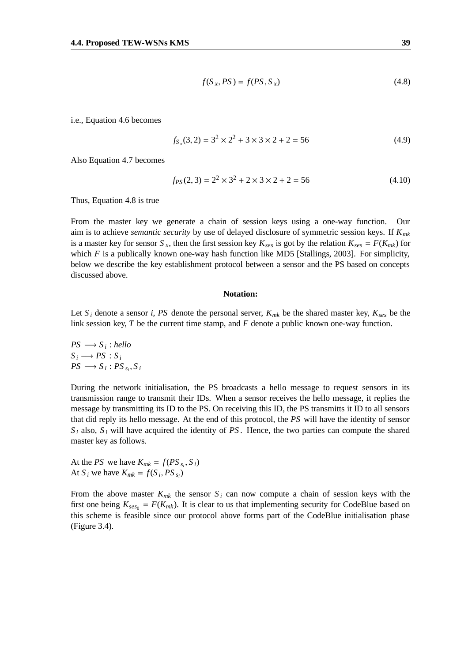$$
f(S_x, PS) = f(PS, S_x)
$$
\n(4.8)

i.e., Equation 4.6 becomes

$$
f_{S_x}(3,2) = 3^2 \times 2^2 + 3 \times 3 \times 2 + 2 = 56
$$
 (4.9)

Also Equation 4.7 becomes

$$
f_{PS}(2,3) = 2^2 \times 3^2 + 2 \times 3 \times 2 + 2 = 56
$$
 (4.10)

Thus, Equation 4.8 is true

From the master key we generate a chain of session keys using a one-way function. Our aim is to achieve *semantic security* by use of delayed disclosure of symmetric session keys. If *Kmk* is a master key for sensor *S<sub>x</sub>*, then the first session key  $K_{ses}$  is got by the relation  $K_{ses} = F(K_{mk})$  for which  $F$  is a publically known one-way hash function like MD5 [Stallings, 2003]. For simplicity, below we describe the key establishment protocol between a sensor and the PS based on concepts discussed above.

#### **Notation:**

Let  $S_i$  denote a sensor *i*, *PS* denote the personal server,  $K_{mk}$  be the shared master key,  $K_{ses}$  be the link session key, *T* be the current time stamp, and *F* denote a public known one-way function.

 $PS \longrightarrow S_i$ ; *hello*  $S_i \longrightarrow PS : S_i$  $PS \longrightarrow S_i : PS_{s_i}, S_i$ 

During the network initialisation, the PS broadcasts a hello message to request sensors in its transmission range to transmit their IDs. When a sensor receives the hello message, it replies the message by transmitting its ID to the PS. On receiving this ID, the PS transmitts it ID to all sensors that did reply its hello message. At the end of this protocol, the *PS* will have the identity of sensor  $S_i$  also,  $S_i$  will have acquired the identity of *PS*. Hence, the two parties can compute the shared master key as follows.

At the *PS* we have  $K_{mk} = f(PS_{s_i}, S_i)$ At  $S_i$  we have  $K_{mk} = f(S_i, PS_{s_i})$ 

From the above master  $K_{mk}$  the sensor  $S_i$  can now compute a chain of session keys with the first one being  $K_{\text{ses}_0} = F(K_{mk})$ . It is clear to us that implementing security for CodeBlue based on this scheme is feasible since our protocol above forms part of the CodeBlue initialisation phase (Figure 3.4).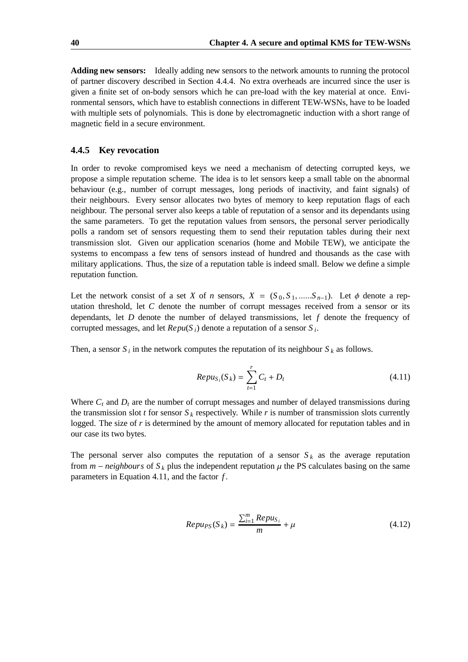**Adding new sensors:** Ideally adding new sensors to the network amounts to running the protocol of partner discovery described in Section 4.4.4. No extra overheads are incurred since the user is given a finite set of on-body sensors which he can pre-load with the key material at once. Environmental sensors, which have to establish connections in different TEW-WSNs, have to be loaded with multiple sets of polynomials. This is done by electromagnetic induction with a short range of magnetic field in a secure environment.

#### **4.4.5 Key revocation**

In order to revoke compromised keys we need a mechanism of detecting corrupted keys, we propose a simple reputation scheme. The idea is to let sensors keep a small table on the abnormal behaviour (e.g., number of corrupt messages, long periods of inactivity, and faint signals) of their neighbours. Every sensor allocates two bytes of memory to keep reputation flags of each neighbour. The personal server also keeps a table of reputation of a sensor and its dependants using the same parameters. To get the reputation values from sensors, the personal server periodically polls a random set of sensors requesting them to send their reputation tables during their next transmission slot. Given our application scenarios (home and Mobile TEW), we anticipate the systems to encompass a few tens of sensors instead of hundred and thousands as the case with military applications. Thus, the size of a reputation table is indeed small. Below we define a simple reputation function.

Let the network consist of a set *X* of *n* sensors,  $X = (S_0, S_1, \dots, S_{n-1})$ . Let  $\phi$  denote a reputation threshold, let *C* denote the number of corrupt messages received from a sensor or its dependants, let *D* denote the number of delayed transmissions, let *f* denote the frequency of corrupted messages, and let  $\text{Re}pu(S_i)$  denote a reputation of a sensor  $S_i$ .

Then, a sensor  $S_i$  in the network computes the reputation of its neighbour  $S_k$  as follows.

$$
Repu_{S_i}(S_k) = \sum_{t=1}^{r} C_t + D_t
$$
\n(4.11)

Where  $C_t$  and  $D_t$  are the number of corrupt messages and number of delayed transmissions during the transmission slot *t* for sensor  $S_k$  respectively. While *r* is number of transmission slots currently logged. The size of *r* is determined by the amount of memory allocated for reputation tables and in our case its two bytes.

The personal server also computes the reputation of a sensor  $S_k$  as the average reputation from  $m$  – *neighbours* of  $S_k$  plus the independent reputation  $\mu$  the PS calculates basing on the same parameters in Equation 4.11, and the factor *f* .

$$
Rep u_{PS}(S_k) = \frac{\sum_{i=1}^{m} Rep u_{S_i}}{m} + \mu
$$
\n(4.12)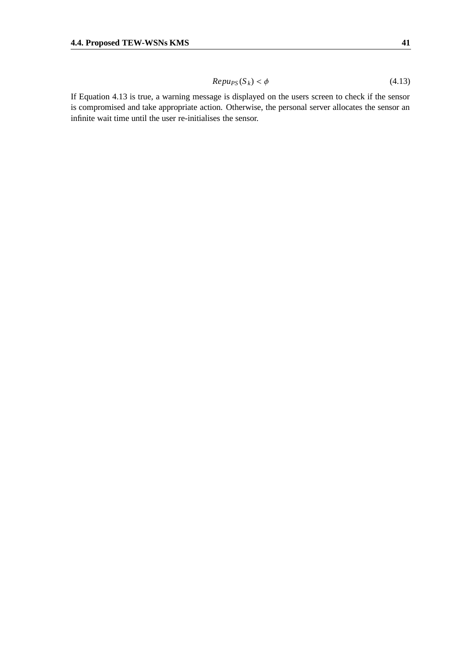$$
Repu_{PS}(S_k) < \phi \tag{4.13}
$$

If Equation 4.13 is true, a warning message is displayed on the users screen to check if the sensor is compromised and take appropriate action. Otherwise, the personal server allocates the sensor an infinite wait time until the user re-initialises the sensor.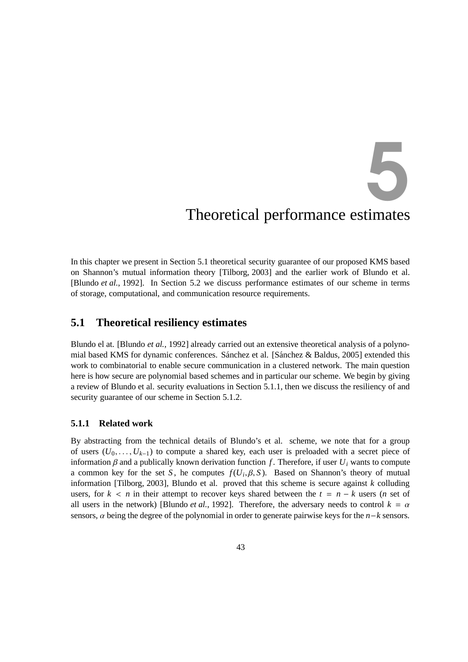5

# Theoretical performance estimates

In this chapter we present in Section 5.1 theoretical security guarantee of our proposed KMS based on Shannon's mutual information theory [Tilborg, 2003] and the earlier work of Blundo et al. [Blundo *et al.*, 1992]. In Section 5.2 we discuss performance estimates of our scheme in terms of storage, computational, and communication resource requirements.

#### **5.1 Theoretical resiliency estimates**

Blundo el at. [Blundo *et al.*, 1992] already carried out an extensive theoretical analysis of a polynomial based KMS for dynamic conferences. Sánchez et al. [Sánchez  $\&$  Baldus, 2005] extended this work to combinatorial to enable secure communication in a clustered network. The main question here is how secure are polynomial based schemes and in particular our scheme. We begin by giving a review of Blundo et al. security evaluations in Section 5.1.1, then we discuss the resiliency of and security guarantee of our scheme in Section 5.1.2.

#### **5.1.1 Related work**

By abstracting from the technical details of Blundo's et al. scheme, we note that for a group of users  $(U_0, \ldots, U_{k-1})$  to compute a shared key, each user is preloaded with a secret piece of information β and a publically known derivation function f. Therefore, if user  $U_i$  wants to compute a common key for the set *S*, he computes  $f(U_i, \beta, S)$ . Based on Shannon's theory of mutual information [Tilborg, 2003], Blundo et al. proved that this scheme is secure against *k* colluding users, for  $k < n$  in their attempt to recover keys shared between the  $t = n - k$  users (*n* set of all users in the network) [Blundo *et al.*, 1992]. Therefore, the adversary needs to control  $k = \alpha$ sensors,  $\alpha$  being the degree of the polynomial in order to generate pairwise keys for the *n*−*k* sensors.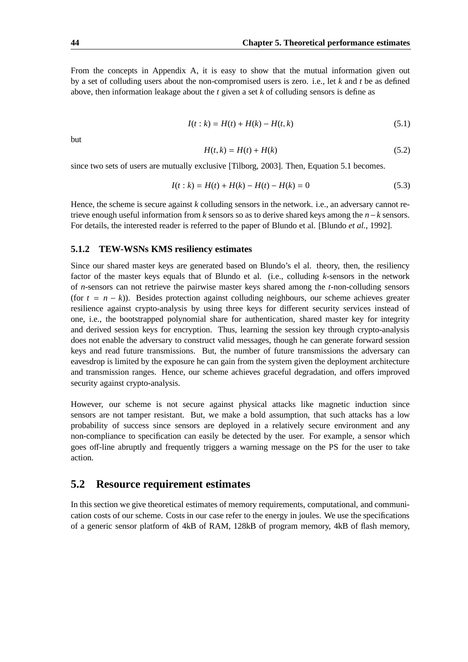From the concepts in Appendix A, it is easy to show that the mutual information given out by a set of colluding users about the non-compromised users is zero. i.e., let *k* and *t* be as defined above, then information leakage about the *t* given a set *k* of colluding sensors is define as

$$
I(t:k) = H(t) + H(k) - H(t,k)
$$
\n(5.1)

but

$$
H(t,k) = H(t) + H(k) \tag{5.2}
$$

since two sets of users are mutually exclusive [Tilborg, 2003]. Then, Equation 5.1 becomes.

$$
I(t:k) = H(t) + H(k) - H(t) - H(k) = 0
$$
\n(5.3)

Hence, the scheme is secure against *k* colluding sensors in the network. i.e., an adversary cannot retrieve enough useful information from *k* sensors so as to derive shared keys among the *n*−*k* sensors. For details, the interested reader is referred to the paper of Blundo et al. [Blundo *et al.*, 1992].

#### **5.1.2 TEW-WSNs KMS resiliency estimates**

Since our shared master keys are generated based on Blundo's el al. theory, then, the resiliency factor of the master keys equals that of Blundo et al. (i.e., colluding *k*-sensors in the network of *n*-sensors can not retrieve the pairwise master keys shared among the *t*-non-colluding sensors (for  $t = n - k$ )). Besides protection against colluding neighbours, our scheme achieves greater resilience against crypto-analysis by using three keys for different security services instead of one, i.e., the bootstrapped polynomial share for authentication, shared master key for integrity and derived session keys for encryption. Thus, learning the session key through crypto-analysis does not enable the adversary to construct valid messages, though he can generate forward session keys and read future transmissions. But, the number of future transmissions the adversary can eavesdrop is limited by the exposure he can gain from the system given the deployment architecture and transmission ranges. Hence, our scheme achieves graceful degradation, and offers improved security against crypto-analysis.

However, our scheme is not secure against physical attacks like magnetic induction since sensors are not tamper resistant. But, we make a bold assumption, that such attacks has a low probability of success since sensors are deployed in a relatively secure environment and any non-compliance to specification can easily be detected by the user. For example, a sensor which goes off-line abruptly and frequently triggers a warning message on the PS for the user to take action.

#### **5.2 Resource requirement estimates**

In this section we give theoretical estimates of memory requirements, computational, and communication costs of our scheme. Costs in our case refer to the energy in joules. We use the specifications of a generic sensor platform of 4kB of RAM, 128kB of program memory, 4kB of flash memory,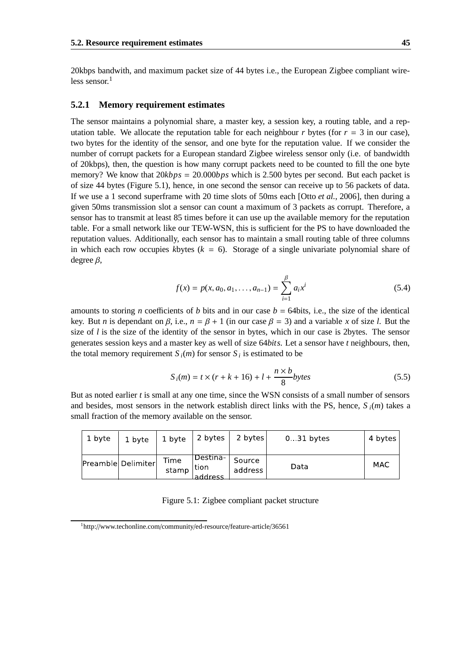20kbps bandwith, and maximum packet size of 44 bytes i.e., the European Zigbee compliant wireless sensor. 1

#### **5.2.1 Memory requirement estimates**

The sensor maintains a polynomial share, a master key, a session key, a routing table, and a reputation table. We allocate the reputation table for each neighbour *r* bytes (for  $r = 3$  in our case), two bytes for the identity of the sensor, and one byte for the reputation value. If we consider the number of corrupt packets for a European standard Zigbee wireless sensor only (i.e. of bandwidth of 20kbps), then, the question is how many corrupt packets need to be counted to fill the one byte memory? We know that 20*kbps* = 20.000*bps* which is 2.500 bytes per second. But each packet is of size 44 bytes (Figure 5.1), hence, in one second the sensor can receive up to 56 packets of data. If we use a 1 second superframe with 20 time slots of 50ms each [Otto *et al.*, 2006], then during a given 50ms transmission slot a sensor can count a maximum of 3 packets as corrupt. Therefore, a sensor has to transmit at least 85 times before it can use up the available memory for the reputation table. For a small network like our TEW-WSN, this is sufficient for the PS to have downloaded the reputation values. Additionally, each sensor has to maintain a small routing table of three columns in which each row occupies *k*bytes  $(k = 6)$ . Storage of a single univariate polynomial share of degree β,

$$
f(x) = p(x, a_0, a_1, \dots, a_{n-1}) = \sum_{i=1}^{\beta} a_i x^i
$$
 (5.4)

amounts to storing *n* coefficients of *b* bits and in our case  $b = 64$ bits, i.e., the size of the identical key. But *n* is dependant on  $\beta$ , i.e.,  $n = \beta + 1$  (in our case  $\beta = 3$ ) and a variable *x* of size *l*. But the size of *l* is the size of the identity of the sensor in bytes, which in our case is 2bytes. The sensor generates session keys and a master key as well of size 64*bits*. Let a sensor have *t* neighbours, then, the total memory requirement  $S_i(m)$  for sensor  $S_i$  is estimated to be

$$
S_i(m) = t \times (r + k + 16) + l + \frac{n \times b}{8} bytes
$$
\n(5.5)

But as noted earlier *t* is small at any one time, since the WSN consists of a small number of sensors and besides, most sensors in the network establish direct links with the PS, hence,  $S_i(m)$  takes a small fraction of the memory available on the sensor.

| 1 byte | 1 byte             | 1 byte        | 2 bytes                      | 2 bytes           | $0.31$ bytes | 4 bytes |
|--------|--------------------|---------------|------------------------------|-------------------|--------------|---------|
|        | Preamble Delimiter | Time<br>stamp | Destina  <br>tion<br>address | Source<br>address | Data         | MAC     |

Figure 5.1: Zigbee compliant packet structure

<sup>1</sup>http://www.techonline.com/community/ed-resource/feature-article/36561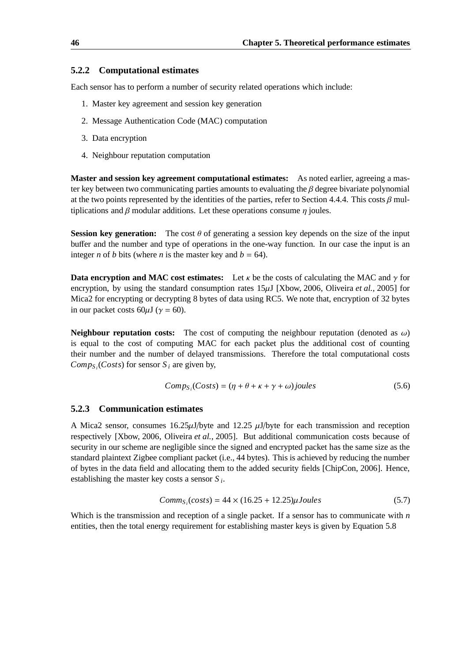#### **5.2.2 Computational estimates**

Each sensor has to perform a number of security related operations which include:

- 1. Master key agreement and session key generation
- 2. Message Authentication Code (MAC) computation
- 3. Data encryption
- 4. Neighbour reputation computation

**Master and session key agreement computational estimates:** As noted earlier, agreeing a master key between two communicating parties amounts to evaluating the  $\beta$  degree bivariate polynomial at the two points represented by the identities of the parties, refer to Section 4.4.4. This costs  $\beta$  multiplications and  $\beta$  modular additions. Let these operations consume  $\eta$  joules.

**Session key generation:** The cost  $\theta$  of generating a session key depends on the size of the input buffer and the number and type of operations in the one-way function. In our case the input is an integer *n* of *b* bits (where *n* is the master key and  $b = 64$ ).

**Data encryption** and **MAC** cost **estimates:** Let  $\kappa$  be the costs of calculating the MAC and  $\gamma$  for encryption, by using the standard consumption rates 15µJ [Xbow, 2006, Oliveira *et al.*, 2005] for Mica2 for encrypting or decrypting 8 bytes of data using RC5. We note that, encryption of 32 bytes in our packet costs  $60\mu J$  ( $\gamma = 60$ ).

**Neighbour reputation costs:** The cost of computing the neighbour reputation (denoted as  $\omega$ ) is equal to the cost of computing MAC for each packet plus the additional cost of counting their number and the number of delayed transmissions. Therefore the total computational costs  $Comp<sub>S<sub>i</sub></sub>(Costs)$  for sensor  $S<sub>i</sub>$  are given by,

$$
CompSi(Costs) = (\eta + \theta + \kappa + \gamma + \omega) joules
$$
 (5.6)

#### **5.2.3 Communication estimates**

A Mica2 sensor, consumes 16.25µJ/byte and 12.25 µJ/byte for each transmission and reception respectively [Xbow, 2006, Oliveira *et al.*, 2005]. But additional communication costs because of security in our scheme are negligible since the signed and encrypted packet has the same size as the standard plaintext Zigbee compliant packet (i.e., 44 bytes). This is achieved by reducing the number of bytes in the data field and allocating them to the added security fields [ChipCon, 2006]. Hence, establishing the master key costs a sensor *S <sup>i</sup>* .

$$
Comm_{S_i}(costs) = 44 \times (16.25 + 12.25) \mu Joules
$$
\n(5.7)

Which is the transmission and reception of a single packet. If a sensor has to communicate with *n* entities, then the total energy requirement for establishing master keys is given by Equation 5.8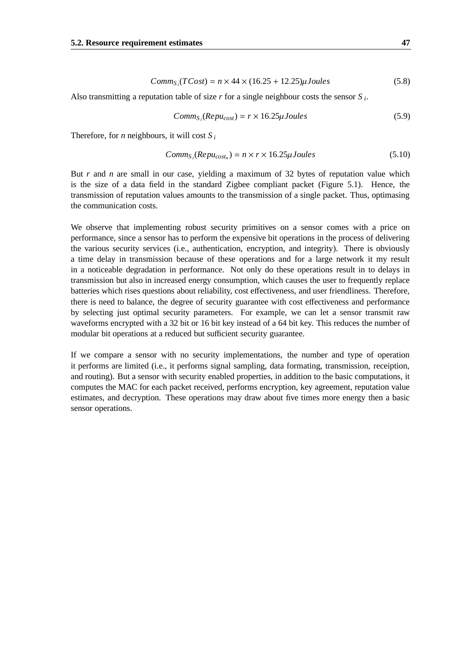$$
Comm_{S_i}(TCost) = n \times 44 \times (16.25 + 12.25)\mu Joules
$$
\n
$$
(5.8)
$$

Also transmitting a reputation table of size *r* for a single neighbour costs the sensor *S <sup>i</sup>* .

$$
Comm_{S_i}(Repu_{cost}) = r \times 16.25 \mu Joules
$$
\n(5.9)

Therefore, for *n* neighbours, it will cost  $S_i$ 

$$
Comm_{S_i}(Repu_{cost_n}) = n \times r \times 16.25 \mu Joules \tag{5.10}
$$

But *r* and *n* are small in our case, yielding a maximum of 32 bytes of reputation value which is the size of a data field in the standard Zigbee compliant packet (Figure 5.1). Hence, the transmission of reputation values amounts to the transmission of a single packet. Thus, optimasing the communication costs.

We observe that implementing robust security primitives on a sensor comes with a price on performance, since a sensor has to perform the expensive bit operations in the process of delivering the various security services (i.e., authentication, encryption, and integrity). There is obviously a time delay in transmission because of these operations and for a large network it my result in a noticeable degradation in performance. Not only do these operations result in to delays in transmission but also in increased energy consumption, which causes the user to frequently replace batteries which rises questions about reliability, cost effectiveness, and user friendliness. Therefore, there is need to balance, the degree of security guarantee with cost effectiveness and performance by selecting just optimal security parameters. For example, we can let a sensor transmit raw waveforms encrypted with a 32 bit or 16 bit key instead of a 64 bit key. This reduces the number of modular bit operations at a reduced but sufficient security guarantee.

If we compare a sensor with no security implementations, the number and type of operation it performs are limited (i.e., it performs signal sampling, data formating, transmission, receiption, and routing). But a sensor with security enabled properties, in addition to the basic computations, it computes the MAC for each packet received, performs encryption, key agreement, reputation value estimates, and decryption. These operations may draw about five times more energy then a basic sensor operations.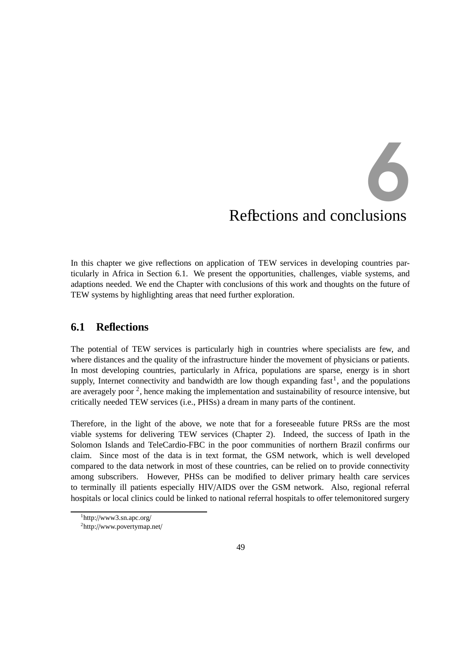# Reflections and conclusions 6

In this chapter we give reflections on application of TEW services in developing countries particularly in Africa in Section 6.1. We present the opportunities, challenges, viable systems, and adaptions needed. We end the Chapter with conclusions of this work and thoughts on the future of TEW systems by highlighting areas that need further exploration.

#### **6.1 Reflections**

The potential of TEW services is particularly high in countries where specialists are few, and where distances and the quality of the infrastructure hinder the movement of physicians or patients. In most developing countries, particularly in Africa, populations are sparse, energy is in short supply, Internet connectivity and bandwidth are low though expanding  $fast<sup>1</sup>$ , and the populations are averagely poor  $2$ , hence making the implementation and sustainability of resource intensive, but critically needed TEW services (i.e., PHSs) a dream in many parts of the continent.

Therefore, in the light of the above, we note that for a foreseeable future PRSs are the most viable systems for delivering TEW services (Chapter 2). Indeed, the success of Ipath in the Solomon Islands and TeleCardio-FBC in the poor communities of northern Brazil confirms our claim. Since most of the data is in text format, the GSM network, which is well developed compared to the data network in most of these countries, can be relied on to provide connectivity among subscribers. However, PHSs can be modified to deliver primary health care services to terminally ill patients especially HIV/AIDS over the GSM network. Also, regional referral hospitals or local clinics could be linked to national referral hospitals to offer telemonitored surgery

<sup>1</sup>http://www3.sn.apc.org/

<sup>2</sup>http://www.povertymap.net/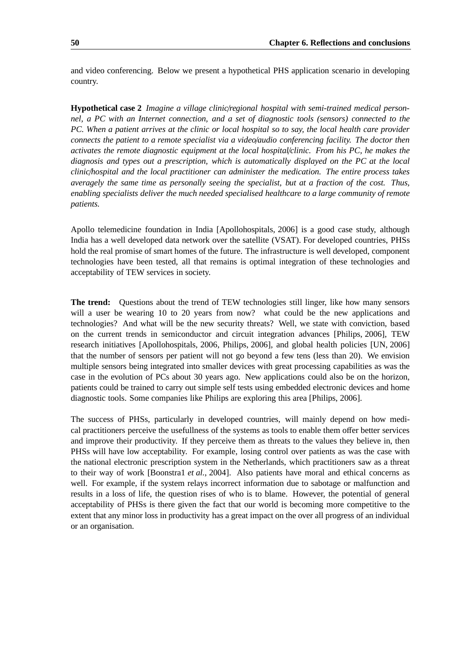and video conferencing. Below we present a hypothetical PHS application scenario in developing country.

**Hypothetical case 2** *Imagine a village clinic*/*regional hospital with semi-trained medical personnel, a PC with an Internet connection, and a set of diagnostic tools (sensors) connected to the* PC. When a patient arrives at the clinic or local hospital so to say, the local health care provider *connects the patient to a remote specialist via a video*/*audio conferencing facility. The doctor then activates the remote diagnostic equipment at the local hospital*/*clinic. From his PC, he makes the diagnosis and types out a prescription, which is automatically displayed on the PC at the local clinic*/*hospital and the local practitioner can administer the medication. The entire process takes averagely the same time as personally seeing the specialist, but at a fraction of the cost. Thus, enabling specialists deliver the much needed specialised healthcare to a large community of remote patients.*

Apollo telemedicine foundation in India [Apollohospitals, 2006] is a good case study, although India has a well developed data network over the satellite (VSAT). For developed countries, PHSs hold the real promise of smart homes of the future. The infrastructure is well developed, component technologies have been tested, all that remains is optimal integration of these technologies and acceptability of TEW services in society.

**The trend:** Questions about the trend of TEW technologies still linger, like how many sensors will a user be wearing 10 to 20 years from now? what could be the new applications and technologies? And what will be the new security threats? Well, we state with conviction, based on the current trends in semiconductor and circuit integration advances [Philips, 2006], TEW research initiatives [Apollohospitals, 2006, Philips, 2006], and global health policies [UN, 2006] that the number of sensors per patient will not go beyond a few tens (less than 20). We envision multiple sensors being integrated into smaller devices with great processing capabilities as was the case in the evolution of PCs about 30 years ago. New applications could also be on the horizon, patients could be trained to carry out simple self tests using embedded electronic devices and home diagnostic tools. Some companies like Philips are exploring this area [Philips, 2006].

The success of PHSs, particularly in developed countries, will mainly depend on how medical practitioners perceive the usefullness of the systems as tools to enable them offer better services and improve their productivity. If they perceive them as threats to the values they believe in, then PHSs will have low acceptability. For example, losing control over patients as was the case with the national electronic prescription system in the Netherlands, which practitioners saw as a threat to their way of work [Boonstra1 *et al.*, 2004]. Also patients have moral and ethical concerns as well. For example, if the system relays incorrect information due to sabotage or malfunction and results in a loss of life, the question rises of who is to blame. However, the potential of general acceptability of PHSs is there given the fact that our world is becoming more competitive to the extent that any minor loss in productivity has a great impact on the over all progress of an individual or an organisation.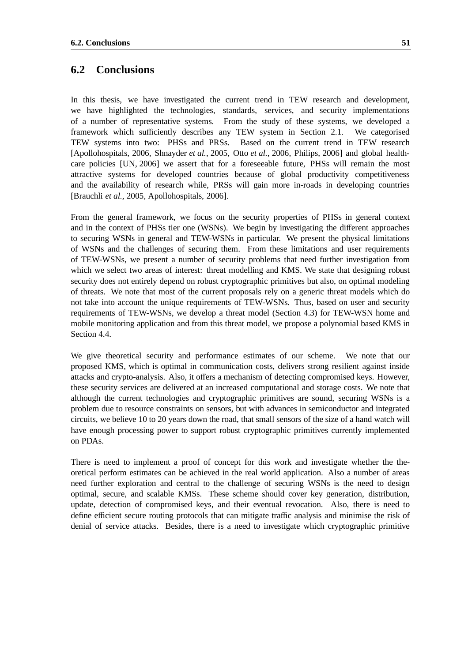#### **6.2 Conclusions**

In this thesis, we have investigated the current trend in TEW research and development, we have highlighted the technologies, standards, services, and security implementations of a number of representative systems. From the study of these systems, we developed a framework which sufficiently describes any TEW system in Section 2.1. We categorised TEW systems into two: PHSs and PRSs. Based on the current trend in TEW research [Apollohospitals, 2006, Shnayder *et al.*, 2005, Otto *et al.*, 2006, Philips, 2006] and global healthcare policies [UN, 2006] we assert that for a foreseeable future, PHSs will remain the most attractive systems for developed countries because of global productivity competitiveness and the availability of research while, PRSs will gain more in-roads in developing countries [Brauchli *et al.*, 2005, Apollohospitals, 2006].

From the general framework, we focus on the security properties of PHSs in general context and in the context of PHSs tier one (WSNs). We begin by investigating the different approaches to securing WSNs in general and TEW-WSNs in particular. We present the physical limitations of WSNs and the challenges of securing them. From these limitations and user requirements of TEW-WSNs, we present a number of security problems that need further investigation from which we select two areas of interest: threat modelling and KMS. We state that designing robust security does not entirely depend on robust cryptographic primitives but also, on optimal modeling of threats. We note that most of the current proposals rely on a generic threat models which do not take into account the unique requirements of TEW-WSNs. Thus, based on user and security requirements of TEW-WSNs, we develop a threat model (Section 4.3) for TEW-WSN home and mobile monitoring application and from this threat model, we propose a polynomial based KMS in Section 4.4.

We give theoretical security and performance estimates of our scheme. We note that our proposed KMS, which is optimal in communication costs, delivers strong resilient against inside attacks and crypto-analysis. Also, it offers a mechanism of detecting compromised keys. However, these security services are delivered at an increased computational and storage costs. We note that although the current technologies and cryptographic primitives are sound, securing WSNs is a problem due to resource constraints on sensors, but with advances in semiconductor and integrated circuits, we believe 10 to 20 years down the road, that small sensors of the size of a hand watch will have enough processing power to support robust cryptographic primitives currently implemented on PDAs.

There is need to implement a proof of concept for this work and investigate whether the theoretical perform estimates can be achieved in the real world application. Also a number of areas need further exploration and central to the challenge of securing WSNs is the need to design optimal, secure, and scalable KMSs. These scheme should cover key generation, distribution, update, detection of compromised keys, and their eventual revocation. Also, there is need to define efficient secure routing protocols that can mitigate traffic analysis and minimise the risk of denial of service attacks. Besides, there is a need to investigate which cryptographic primitive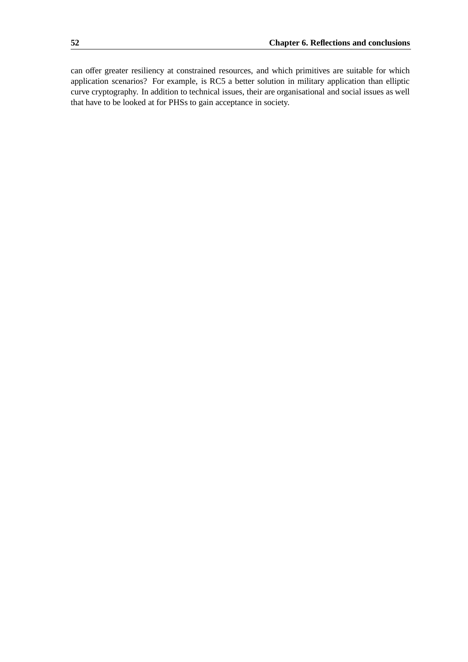can offer greater resiliency at constrained resources, and which primitives are suitable for which application scenarios? For example, is RC5 a better solution in military application than elliptic curve cryptography. In addition to technical issues, their are organisational and social issues as well that have to be looked at for PHSs to gain acceptance in society.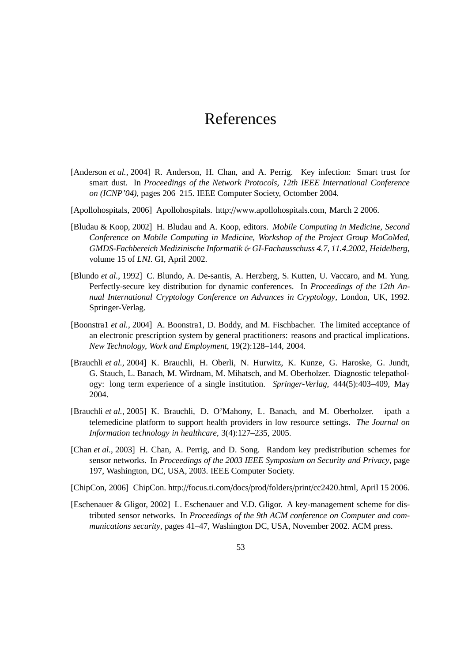### References

- [Anderson *et al.*, 2004] R. Anderson, H. Chan, and A. Perrig. Key infection: Smart trust for smart dust. In *Proceedings of the Network Protocols, 12th IEEE International Conference on (ICNP'04)*, pages 206–215. IEEE Computer Society, Octomber 2004.
- [Apollohospitals, 2006] Apollohospitals. http://www.apollohospitals.com, March 2 2006.
- [Bludau & Koop, 2002] H. Bludau and A. Koop, editors. *Mobile Computing in Medicine, Second Conference on Mobile Computing in Medicine, Workshop of the Project Group MoCoMed, GMDS-Fachbereich Medizinische Informatik* & *GI-Fachausschuss 4.7, 11.4.2002, Heidelberg*, volume 15 of *LNI*. GI, April 2002.
- [Blundo *et al.*, 1992] C. Blundo, A. De-santis, A. Herzberg, S. Kutten, U. Vaccaro, and M. Yung. Perfectly-secure key distribution for dynamic conferences. In *Proceedings of the 12th Annual International Cryptology Conference on Advances in Cryptology*, London, UK, 1992. Springer-Verlag.
- [Boonstra1 *et al.*, 2004] A. Boonstra1, D. Boddy, and M. Fischbacher. The limited acceptance of an electronic prescription system by general practitioners: reasons and practical implications. *New Technology, Work and Employment*, 19(2):128–144, 2004.
- [Brauchli *et al.*, 2004] K. Brauchli, H. Oberli, N. Hurwitz, K. Kunze, G. Haroske, G. Jundt, G. Stauch, L. Banach, M. Wirdnam, M. Mihatsch, and M. Oberholzer. Diagnostic telepathology: long term experience of a single institution. *Springer-Verlag*, 444(5):403–409, May 2004.
- [Brauchli *et al.*, 2005] K. Brauchli, D. O'Mahony, L. Banach, and M. Oberholzer. ipath a telemedicine platform to support health providers in low resource settings. *The Journal on Information technology in healthcare*, 3(4):127–235, 2005.
- [Chan *et al.*, 2003] H. Chan, A. Perrig, and D. Song. Random key predistribution schemes for sensor networks. In *Proceedings of the 2003 IEEE Symposium on Security and Privacy*, page 197, Washington, DC, USA, 2003. IEEE Computer Society.
- [ChipCon, 2006] ChipCon. http://focus.ti.com/docs/prod/folders/print/cc2420.html, April 15 2006.
- [Eschenauer & Gligor, 2002] L. Eschenauer and V.D. Gligor. A key-management scheme for distributed sensor networks. In *Proceedings of the 9th ACM conference on Computer and communications security*, pages 41–47, Washington DC, USA, November 2002. ACM press.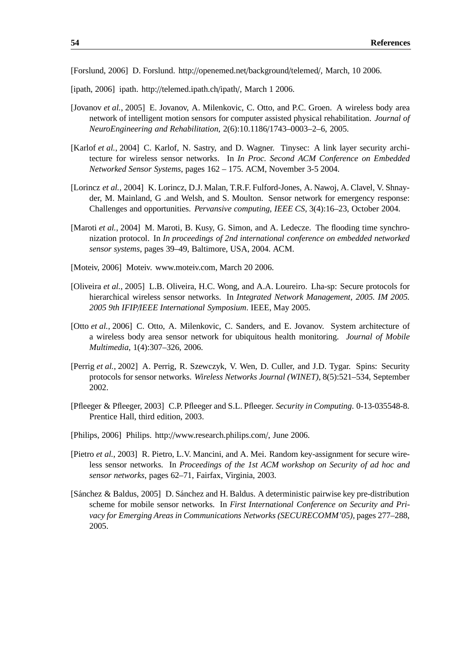[Forslund, 2006] D. Forslund. http://openemed.net/background/telemed/, March, 10 2006.

[ipath, 2006] ipath. http://telemed.ipath.ch/ipath/, March 1 2006.

- [Jovanov *et al.*, 2005] E. Jovanov, A. Milenkovic, C. Otto, and P.C. Groen. A wireless body area network of intelligent motion sensors for computer assisted physical rehabilitation. *Journal of NeuroEngineering and Rehabilitation*, 2(6):10.1186/1743–0003–2–6, 2005.
- [Karlof *et al.*, 2004] C. Karlof, N. Sastry, and D. Wagner. Tinysec: A link layer security architecture for wireless sensor networks. In *In Proc. Second ACM Conference on Embedded Networked Sensor Systems*, pages 162 – 175. ACM, November 3-5 2004.
- [Lorincz *et al.*, 2004] K. Lorincz, D.J. Malan, T.R.F. Fulford-Jones, A. Nawoj, A. Clavel, V. Shnayder, M. Mainland, G .and Welsh, and S. Moulton. Sensor network for emergency response: Challenges and opportunities. *Pervansive computing, IEEE CS*, 3(4):16–23, October 2004.
- [Maroti *et al.*, 2004] M. Maroti, B. Kusy, G. Simon, and A. Ledecze. The flooding time synchronization protocol. In *In proceedings of 2nd international conference on embedded networked sensor systems*, pages 39–49, Baltimore, USA, 2004. ACM.
- [Moteiv, 2006] Moteiv. www.moteiv.com, March 20 2006.
- [Oliveira *et al.*, 2005] L.B. Oliveira, H.C. Wong, and A.A. Loureiro. Lha-sp: Secure protocols for hierarchical wireless sensor networks. In *Integrated Network Management, 2005. IM 2005. 2005 9th IFIP*/*IEEE International Symposium*. IEEE, May 2005.
- [Otto *et al.*, 2006] C. Otto, A. Milenkovic, C. Sanders, and E. Jovanov. System architecture of a wireless body area sensor network for ubiquitous health monitoring. *Journal of Mobile Multimedia*, 1(4):307–326, 2006.
- [Perrig *et al.*, 2002] A. Perrig, R. Szewczyk, V. Wen, D. Culler, and J.D. Tygar. Spins: Security protocols for sensor networks. *Wireless Networks Journal (WINET)*, 8(5):521–534, September 2002.
- [Pfleeger & Pfleeger, 2003] C.P. Pfleeger and S.L. Pfleeger. *Security in Computing*. 0-13-035548-8. Prentice Hall, third edition, 2003.
- [Philips, 2006] Philips. http://www.research.philips.com/, June 2006.
- [Pietro *et al.*, 2003] R. Pietro, L.V. Mancini, and A. Mei. Random key-assignment for secure wireless sensor networks. In *Proceedings of the 1st ACM workshop on Security of ad hoc and sensor networks*, pages 62–71, Fairfax, Virginia, 2003.
- [Sánchez & Baldus, 2005] D. Sánchez and H. Baldus. A deterministic pairwise key pre-distribution scheme for mobile sensor networks. In *First International Conference on Security and Privacy for Emerging Areas in Communications Networks (SECURECOMM'05)*, pages 277–288, 2005.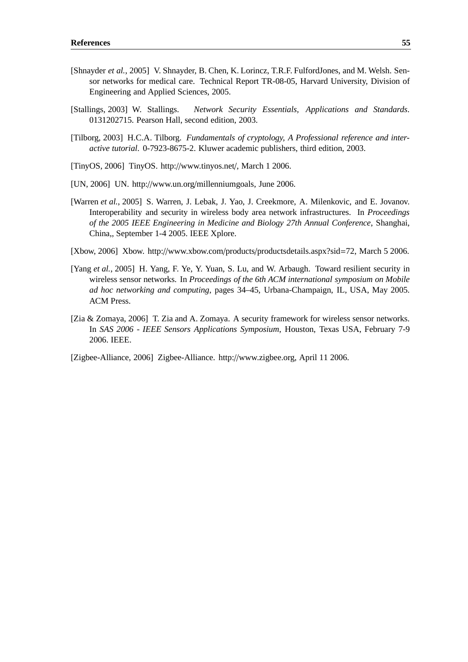- [Shnayder *et al.*, 2005] V. Shnayder, B. Chen, K. Lorincz, T.R.F. FulfordJones, and M. Welsh. Sensor networks for medical care. Technical Report TR-08-05, Harvard University, Division of Engineering and Applied Sciences, 2005.
- [Stallings, 2003] W. Stallings. *Network Security Essentials, Applications and Standards*. 0131202715. Pearson Hall, second edition, 2003.
- [Tilborg, 2003] H.C.A. Tilborg. *Fundamentals of cryptology, A Professional reference and interactive tutorial*. 0-7923-8675-2. Kluwer academic publishers, third edition, 2003.
- [TinyOS, 2006] TinyOS. http://www.tinyos.net/, March 1 2006.
- [UN, 2006] UN. http://www.un.org/millenniumgoals, June 2006.
- [Warren *et al.*, 2005] S. Warren, J. Lebak, J. Yao, J. Creekmore, A. Milenkovic, and E. Jovanov. Interoperability and security in wireless body area network infrastructures. In *Proceedings of the 2005 IEEE Engineering in Medicine and Biology 27th Annual Conference*, Shanghai, China,, September 1-4 2005. IEEE Xplore.
- [Xbow, 2006] Xbow. http://www.xbow.com/products/productsdetails.aspx?sid=72, March 5 2006.
- [Yang *et al.*, 2005] H. Yang, F. Ye, Y. Yuan, S. Lu, and W. Arbaugh. Toward resilient security in wireless sensor networks. In *Proceedings of the 6th ACM international symposium on Mobile ad hoc networking and computing*, pages 34–45, Urbana-Champaign, IL, USA, May 2005. ACM Press.
- [Zia & Zomaya, 2006] T. Zia and A. Zomaya. A security framework for wireless sensor networks. In *SAS 2006 - IEEE Sensors Applications Symposium*, Houston, Texas USA, February 7-9 2006. IEEE.

[Zigbee-Alliance, 2006] Zigbee-Alliance. http://www.zigbee.org, April 11 2006.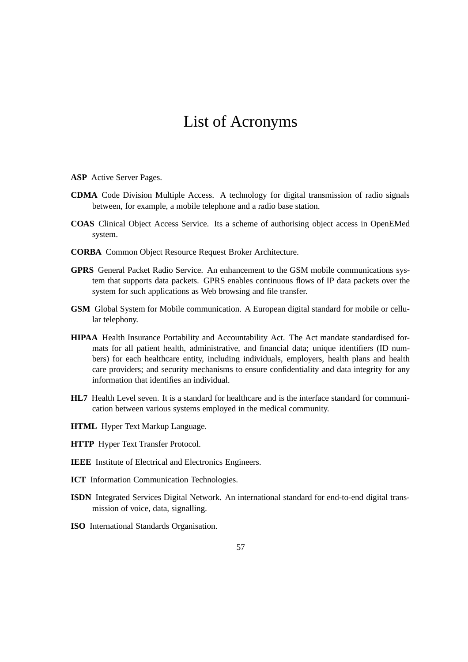# List of Acronyms

- **ASP** Active Server Pages.
- **CDMA** Code Division Multiple Access. A technology for digital transmission of radio signals between, for example, a mobile telephone and a radio base station.
- **COAS** Clinical Object Access Service. Its a scheme of authorising object access in OpenEMed system.
- **CORBA** Common Object Resource Request Broker Architecture.
- **GPRS** General Packet Radio Service. An enhancement to the GSM mobile communications system that supports data packets. GPRS enables continuous flows of IP data packets over the system for such applications as Web browsing and file transfer.
- **GSM** Global System for Mobile communication. A European digital standard for mobile or cellular telephony.
- **HIPAA** Health Insurance Portability and Accountability Act. The Act mandate standardised formats for all patient health, administrative, and financial data; unique identifiers (ID numbers) for each healthcare entity, including individuals, employers, health plans and health care providers; and security mechanisms to ensure confidentiality and data integrity for any information that identifies an individual.
- **HL7** Health Level seven. It is a standard for healthcare and is the interface standard for communication between various systems employed in the medical community.
- **HTML** Hyper Text Markup Language.
- **HTTP** Hyper Text Transfer Protocol.
- **IEEE** Institute of Electrical and Electronics Engineers.
- **ICT** Information Communication Technologies.
- **ISDN** Integrated Services Digital Network. An international standard for end-to-end digital transmission of voice, data, signalling.
- **ISO** International Standards Organisation.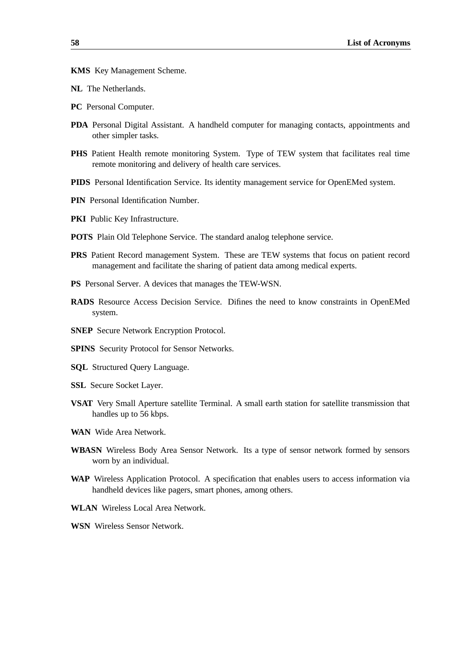**KMS** Key Management Scheme.

**NL** The Netherlands.

- **PC** Personal Computer.
- **PDA** Personal Digital Assistant. A handheld computer for managing contacts, appointments and other simpler tasks.
- PHS Patient Health remote monitoring System. Type of TEW system that facilitates real time remote monitoring and delivery of health care services.
- **PIDS** Personal Identification Service. Its identity management service for OpenEMed system.
- **PIN** Personal Identification Number.
- **PKI** Public Key Infrastructure.
- **POTS** Plain Old Telephone Service. The standard analog telephone service.
- **PRS** Patient Record management System. These are TEW systems that focus on patient record management and facilitate the sharing of patient data among medical experts.
- **PS** Personal Server. A devices that manages the TEW-WSN.
- **RADS** Resource Access Decision Service. Difines the need to know constraints in OpenEMed system.
- **SNEP** Secure Network Encryption Protocol.
- **SPINS** Security Protocol for Sensor Networks.
- **SQL** Structured Query Language.
- **SSL** Secure Socket Layer.
- **VSAT** Very Small Aperture satellite Terminal. A small earth station for satellite transmission that handles up to 56 kbps.
- **WAN** Wide Area Network.
- **WBASN** Wireless Body Area Sensor Network. Its a type of sensor network formed by sensors worn by an individual.
- **WAP** Wireless Application Protocol. A specification that enables users to access information via handheld devices like pagers, smart phones, among others.
- **WLAN** Wireless Local Area Network.
- **WSN** Wireless Sensor Network.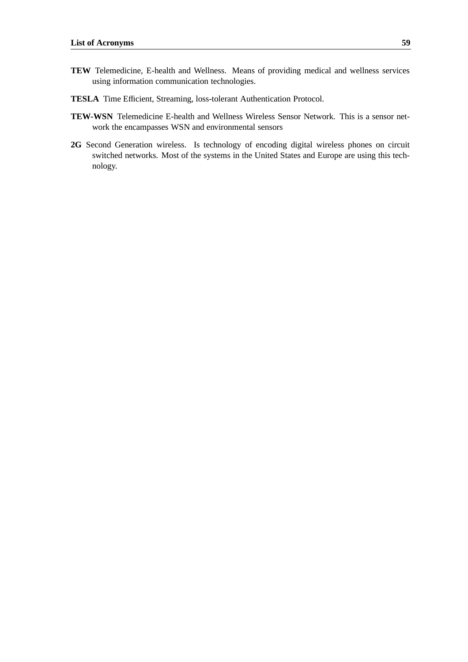- **TEW** Telemedicine, E-health and Wellness. Means of providing medical and wellness services using information communication technologies.
- **TESLA** Time Efficient, Streaming, loss-tolerant Authentication Protocol.
- **TEW-WSN** Telemedicine E-health and Wellness Wireless Sensor Network. This is a sensor network the encampasses WSN and environmental sensors
- 2G Second Generation wireless. Is technology of encoding digital wireless phones on circuit switched networks. Most of the systems in the United States and Europe are using this technology.